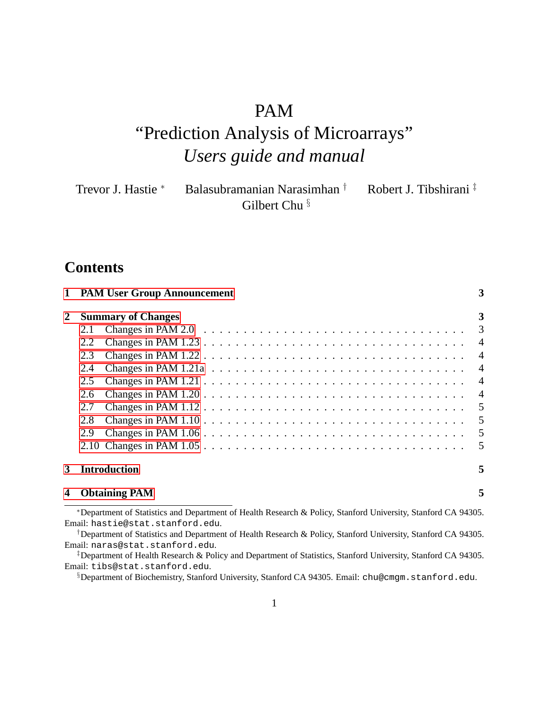# PAM

# "Prediction Analysis of Microarrays" *Users guide and manual*

| Trevor J. Hastie * | Balasubramanian Narasimhan $^{\dagger}$ | Robert J. Tibshirani <sup>‡</sup> |
|--------------------|-----------------------------------------|-----------------------------------|
|                    | Gilbert Chu <sup>§</sup>                |                                   |

# **Contents**

|   | 1 PAM User Group Announcement                                                                                     | 3 |
|---|-------------------------------------------------------------------------------------------------------------------|---|
| 2 | <b>Summary of Changes</b>                                                                                         | 3 |
|   | Changes in PAM 2.0 $\ldots \ldots \ldots \ldots \ldots \ldots \ldots \ldots \ldots \ldots \ldots \ldots 3$<br>2.1 |   |
|   | 2.2                                                                                                               |   |
|   | 2.3                                                                                                               |   |
|   | 2.4                                                                                                               |   |
|   | 2.5                                                                                                               |   |
|   | 2.6                                                                                                               |   |
|   | 2.7                                                                                                               |   |
|   | Changes in PAM $1.10 \ldots \ldots \ldots \ldots \ldots \ldots \ldots \ldots \ldots \ldots \ldots 5$<br>2.8       |   |
|   | 2.9                                                                                                               |   |
|   |                                                                                                                   |   |
| 3 | <b>Introduction</b>                                                                                               | 5 |
|   | <b>Obtaining PAM</b>                                                                                              | 5 |

<sup>∗</sup>Department of Statistics and Department of Health Research & Policy, Stanford University, Stanford CA 94305. Email: hastie@stat.stanford.edu.

†Department of Statistics and Department of Health Research & Policy, Stanford University, Stanford CA 94305. Email: naras@stat.stanford.edu.

‡Department of Health Research & Policy and Department of Statistics, Stanford University, Stanford CA 94305. Email: tibs@stat.stanford.edu.

§Department of Biochemistry, Stanford University, Stanford CA 94305. Email: chu@cmgm.stanford.edu.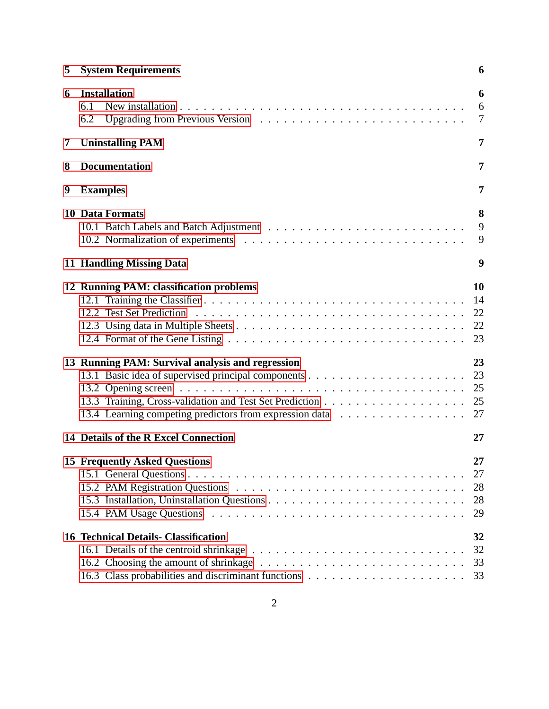| 5 | <b>System Requirements</b>                                                                                  | 6                          |
|---|-------------------------------------------------------------------------------------------------------------|----------------------------|
| 6 | <b>Installation</b><br>6.1<br>6.2                                                                           | 6<br>6<br>$\overline{7}$   |
| 7 | <b>Uninstalling PAM</b>                                                                                     | 7                          |
| 8 | <b>Documentation</b>                                                                                        | 7                          |
| 9 | <b>Examples</b>                                                                                             | 7                          |
|   | <b>10 Data Formats</b>                                                                                      | 8<br>9<br>9                |
|   | 11 Handling Missing Data                                                                                    | 9                          |
|   | 12 Running PAM: classification problems                                                                     | 10<br>14<br>22<br>22<br>23 |
|   | 13 Running PAM: Survival analysis and regression<br>13.4 Learning competing predictors from expression data | 23<br>23<br>25<br>25<br>27 |
|   | 14 Details of the R Excel Connection                                                                        | 27                         |
|   | <b>15 Frequently Asked Questions</b>                                                                        | 27<br>27<br>28<br>28<br>29 |
|   | <b>16 Technical Details- Classification</b>                                                                 | 32<br>32<br>33<br>33       |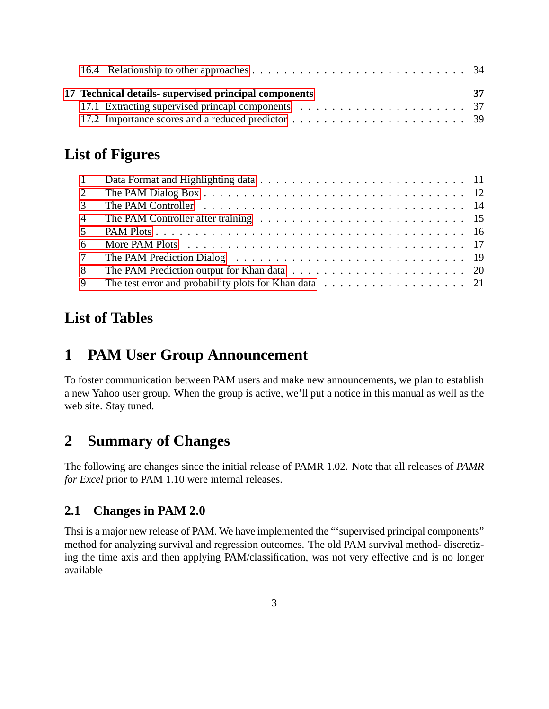|  | 17 Technical details- supervised principal components | -37 |
|--|-------------------------------------------------------|-----|

# **List of Figures**

| 2               |                                                                                                          |  |
|-----------------|----------------------------------------------------------------------------------------------------------|--|
| $\mathcal{E}$   |                                                                                                          |  |
|                 |                                                                                                          |  |
| 5 <sup>5</sup>  |                                                                                                          |  |
| 6               |                                                                                                          |  |
| $7\overline{ }$ |                                                                                                          |  |
| 8               |                                                                                                          |  |
| 9               | The test error and probability plots for Khan data $\ldots \ldots \ldots \ldots \ldots \ldots \ldots$ 21 |  |

# **List of Tables**

# <span id="page-2-0"></span>**1 PAM User Group Announcement**

To foster communication between PAM users and make new announcements, we plan to establish a new Yahoo user group. When the group is active, we'll put a notice in this manual as well as the web site. Stay tuned.

# <span id="page-2-1"></span>**2 Summary of Changes**

The following are changes since the initial release of PAMR 1.02. Note that all releases of *PAMR for Excel* prior to PAM 1.10 were internal releases.

# <span id="page-2-2"></span>**2.1 Changes in PAM 2.0**

Thsi is a major new release of PAM. We have implemented the "'supervised principal components" method for analyzing survival and regression outcomes. The old PAM survival method- discretizing the time axis and then applying PAM/classification, was not very effective and is no longer available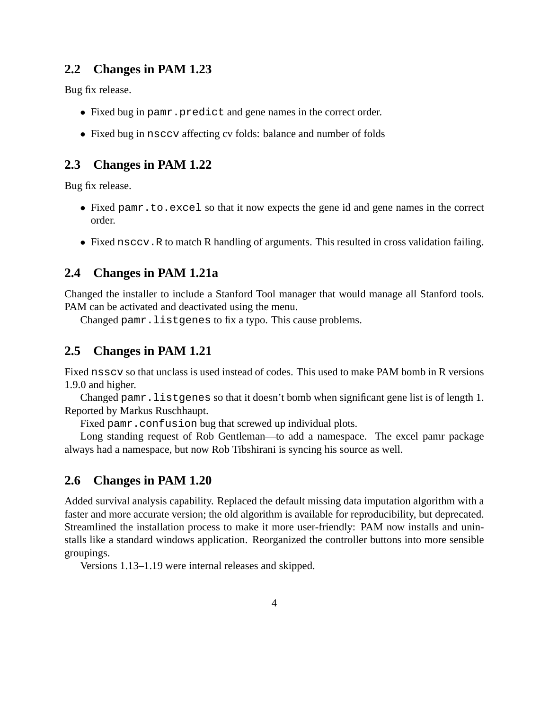#### <span id="page-3-0"></span>**2.2 Changes in PAM 1.23**

Bug fix release.

- Fixed bug in pamr.predict and gene names in the correct order.
- Fixed bug in nsccv affecting cv folds: balance and number of folds

#### <span id="page-3-1"></span>**2.3 Changes in PAM 1.22**

Bug fix release.

- Fixed pamr.to.excel so that it now expects the gene id and gene names in the correct order.
- Fixed nsccv.R to match R handling of arguments. This resulted in cross validation failing.

#### <span id="page-3-2"></span>**2.4 Changes in PAM 1.21a**

Changed the installer to include a Stanford Tool manager that would manage all Stanford tools. PAM can be activated and deactivated using the menu.

Changed pamr.listgenes to fix a typo. This cause problems.

#### <span id="page-3-3"></span>**2.5 Changes in PAM 1.21**

Fixed nsscv so that unclass is used instead of codes. This used to make PAM bomb in R versions 1.9.0 and higher.

Changed pamr.listgenes so that it doesn't bomb when significant gene list is of length 1. Reported by Markus Ruschhaupt.

Fixed pamr.confusion bug that screwed up individual plots.

Long standing request of Rob Gentleman—to add a namespace. The excel pamr package always had a namespace, but now Rob Tibshirani is syncing his source as well.

#### <span id="page-3-4"></span>**2.6 Changes in PAM 1.20**

Added survival analysis capability. Replaced the default missing data imputation algorithm with a faster and more accurate version; the old algorithm is available for reproducibility, but deprecated. Streamlined the installation process to make it more user-friendly: PAM now installs and uninstalls like a standard windows application. Reorganized the controller buttons into more sensible groupings.

Versions 1.13–1.19 were internal releases and skipped.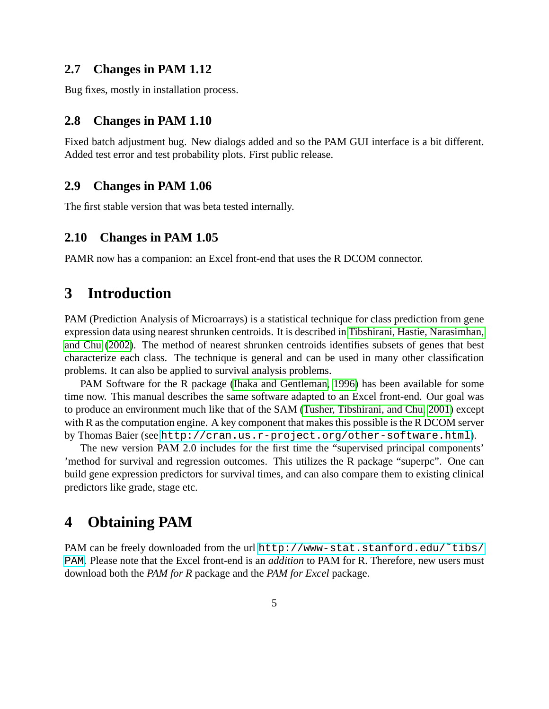#### <span id="page-4-0"></span>**2.7 Changes in PAM 1.12**

Bug fixes, mostly in installation process.

#### <span id="page-4-1"></span>**2.8 Changes in PAM 1.10**

Fixed batch adjustment bug. New dialogs added and so the PAM GUI interface is a bit different. Added test error and test probability plots. First public release.

#### <span id="page-4-2"></span>**2.9 Changes in PAM 1.06**

The first stable version that was beta tested internally.

#### <span id="page-4-3"></span>**2.10 Changes in PAM 1.05**

PAMR now has a companion: an Excel front-end that uses the R DCOM connector.

# <span id="page-4-4"></span>**3 Introduction**

PAM (Prediction Analysis of Microarrays) is a statistical technique for class prediction from gene expression data using nearest shrunken centroids. It is described in [Tibshirani, Hastie, Narasimhan,](#page-40-0) [and Chu \(2002\)](#page-40-0). The method of nearest shrunken centroids identifies subsets of genes that best characterize each class. The technique is general and can be used in many other classification problems. It can also be applied to survival analysis problems.

PAM Software for the R package [\(Ihaka and Gentleman, 1996\)](#page-40-1) has been available for some time now. This manual describes the same software adapted to an Excel front-end. Our goal was to produce an environment much like that of the SAM [\(Tusher, Tibshirani, and Chu, 2001\)](#page-40-2) except with R as the computation engine. A key component that makes this possible is the R DCOM server by Thomas Baier (see <http://cran.us.r-project.org/other-software.html>).

The new version PAM 2.0 includes for the first time the "supervised principal components' 'method for survival and regression outcomes. This utilizes the R package "superpc". One can build gene expression predictors for survival times, and can also compare them to existing clinical predictors like grade, stage etc.

# <span id="page-4-5"></span>**4 Obtaining PAM**

PAM can be freely downloaded from the url http://www-stat.stanford.edu/~tibs/ [PAM](http://www-stat.stanford.edu/~tibs/PAM). Please note that the Excel front-end is an *addition* to PAM for R. Therefore, new users must download both the *PAM for R* package and the *PAM for Excel* package.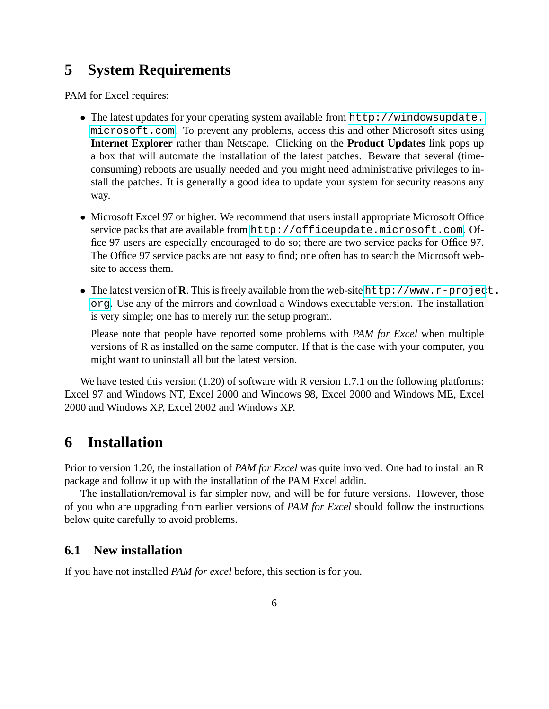# <span id="page-5-0"></span>**5 System Requirements**

PAM for Excel requires:

- The latest updates for your operating system available from [http://windowsupdate.](http://windowsupdate.microsoft.com) [microsoft.com](http://windowsupdate.microsoft.com). To prevent any problems, access this and other Microsoft sites using **Internet Explorer** rather than Netscape. Clicking on the **Product Updates** link pops up a box that will automate the installation of the latest patches. Beware that several (timeconsuming) reboots are usually needed and you might need administrative privileges to install the patches. It is generally a good idea to update your system for security reasons any way.
- Microsoft Excel 97 or higher. We recommend that users install appropriate Microsoft Office service packs that are available from <http://officeupdate.microsoft.com>. Office 97 users are especially encouraged to do so; there are two service packs for Office 97. The Office 97 service packs are not easy to find; one often has to search the Microsoft website to access them.
- The latest version of **R**. This is freely available from the web-site [http://www.r-projec](http://www.r-project.org)t. [org](http://www.r-project.org). Use any of the mirrors and download a Windows executable version. The installation is very simple; one has to merely run the setup program.

Please note that people have reported some problems with *PAM for Excel* when multiple versions of R as installed on the same computer. If that is the case with your computer, you might want to uninstall all but the latest version.

We have tested this version (1.20) of software with R version 1.7.1 on the following platforms: Excel 97 and Windows NT, Excel 2000 and Windows 98, Excel 2000 and Windows ME, Excel 2000 and Windows XP, Excel 2002 and Windows XP.

# <span id="page-5-1"></span>**6 Installation**

Prior to version 1.20, the installation of *PAM for Excel* was quite involved. One had to install an R package and follow it up with the installation of the PAM Excel addin.

The installation/removal is far simpler now, and will be for future versions. However, those of you who are upgrading from earlier versions of *PAM for Excel* should follow the instructions below quite carefully to avoid problems.

#### <span id="page-5-2"></span>**6.1 New installation**

If you have not installed *PAM for excel* before, this section is for you.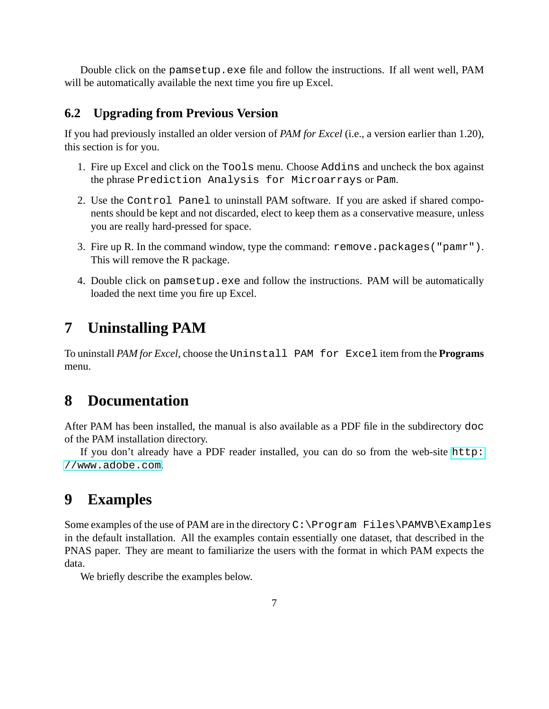Double click on the pamsetup.exe file and follow the instructions. If all went well, PAM will be automatically available the next time you fire up Excel.

#### <span id="page-6-0"></span>**6.2 Upgrading from Previous Version**

If you had previously installed an older version of *PAM for Excel* (i.e., a version earlier than 1.20), this section is for you.

- 1. Fire up Excel and click on the Tools menu. Choose Addins and uncheck the box against the phrase Prediction Analysis for Microarrays or Pam.
- 2. Use the Control Panel to uninstall PAM software. If you are asked if shared components should be kept and not discarded, elect to keep them as a conservative measure, unless you are really hard-pressed for space.
- 3. Fire up R. In the command window, type the command: remove.packages("pamr"). This will remove the R package.
- 4. Double click on pamsetup.exe and follow the instructions. PAM will be automatically loaded the next time you fire up Excel.

# <span id="page-6-1"></span>**7 Uninstalling PAM**

To uninstall *PAM for Excel*, choose the Uninstall PAM for Excel item from the **Programs** menu.

# <span id="page-6-2"></span>**8 Documentation**

After PAM has been installed, the manual is also available as a PDF file in the subdirectory doc of the PAM installation directory.

If you don't already have a PDF reader installed, you can do so from the web-site [http:](http://www.adobe.com) [//www.adobe.com](http://www.adobe.com).

# <span id="page-6-3"></span>**9 Examples**

Some examples of the use of PAM are in the directory  $C:\Per\gamma$  Files\PAMVB\Examples in the default installation. All the examples contain essentially one dataset, that described in the PNAS paper. They are meant to familiarize the users with the format in which PAM expects the data.

We briefly describe the examples below.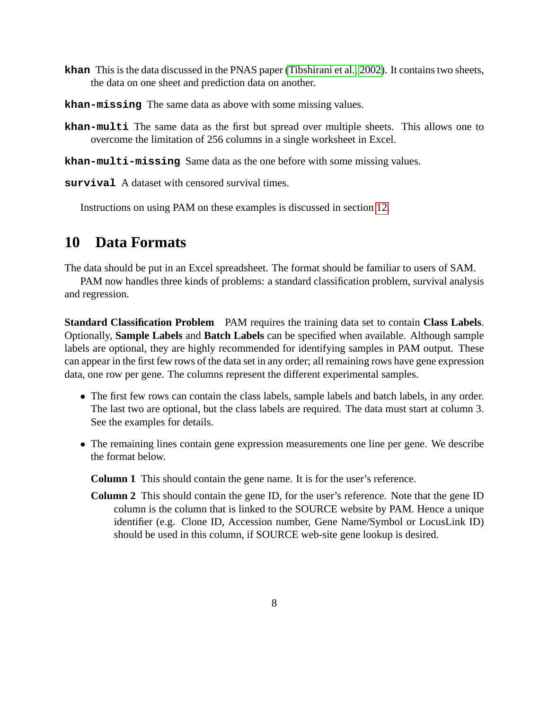- **khan** This is the data discussed in the PNAS paper [\(Tibshirani et al., 2002\)](#page-40-0). It contains two sheets, the data on one sheet and prediction data on another.
- **khan-missing** The same data as above with some missing values.
- **khan-multi** The same data as the first but spread over multiple sheets. This allows one to overcome the limitation of 256 columns in a single worksheet in Excel.
- **khan-multi-missing** Same data as the one before with some missing values.

**survival** A dataset with censored survival times.

Instructions on using PAM on these examples is discussed in section [12.](#page-9-0)

# <span id="page-7-0"></span>**10 Data Formats**

The data should be put in an Excel spreadsheet. The format should be familiar to users of SAM.

PAM now handles three kinds of problems: a standard classification problem, survival analysis and regression.

**Standard Classification Problem** PAM requires the training data set to contain **Class Labels**. Optionally, **Sample Labels** and **Batch Labels** can be specified when available. Although sample labels are optional, they are highly recommended for identifying samples in PAM output. These can appear in the first few rows of the data set in any order; all remaining rows have gene expression data, one row per gene. The columns represent the different experimental samples.

- The first few rows can contain the class labels, sample labels and batch labels, in any order. The last two are optional, but the class labels are required. The data must start at column 3. See the examples for details.
- The remaining lines contain gene expression measurements one line per gene. We describe the format below.

**Column 1** This should contain the gene name. It is for the user's reference.

**Column 2** This should contain the gene ID, for the user's reference. Note that the gene ID column is the column that is linked to the SOURCE website by PAM. Hence a unique identifier (e.g. Clone ID, Accession number, Gene Name/Symbol or LocusLink ID) should be used in this column, if SOURCE web-site gene lookup is desired.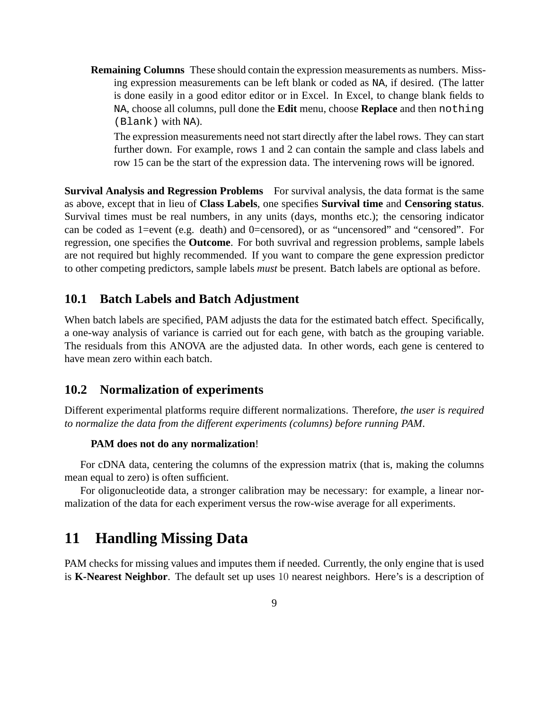**Remaining Columns** These should contain the expression measurements as numbers. Missing expression measurements can be left blank or coded as NA, if desired. (The latter is done easily in a good editor editor or in Excel. In Excel, to change blank fields to NA, choose all columns, pull done the **Edit** menu, choose **Replace** and then nothing (Blank) with NA).

The expression measurements need not start directly after the label rows. They can start further down. For example, rows 1 and 2 can contain the sample and class labels and row 15 can be the start of the expression data. The intervening rows will be ignored.

**Survival Analysis and Regression Problems** For survival analysis, the data format is the same as above, except that in lieu of **Class Labels**, one specifies **Survival time** and **Censoring status**. Survival times must be real numbers, in any units (days, months etc.); the censoring indicator can be coded as 1=event (e.g. death) and 0=censored), or as "uncensored" and "censored". For regression, one specifies the **Outcome**. For both suvrival and regression problems, sample labels are not required but highly recommended. If you want to compare the gene expression predictor to other competing predictors, sample labels *must* be present. Batch labels are optional as before.

#### <span id="page-8-0"></span>**10.1 Batch Labels and Batch Adjustment**

When batch labels are specified, PAM adjusts the data for the estimated batch effect. Specifically, a one-way analysis of variance is carried out for each gene, with batch as the grouping variable. The residuals from this ANOVA are the adjusted data. In other words, each gene is centered to have mean zero within each batch.

#### <span id="page-8-1"></span>**10.2 Normalization of experiments**

Different experimental platforms require different normalizations. Therefore, *the user is required to normalize the data from the different experiments (columns) before running PAM*.

#### **PAM does not do any normalization**!

For cDNA data, centering the columns of the expression matrix (that is, making the columns mean equal to zero) is often sufficient.

For oligonucleotide data, a stronger calibration may be necessary: for example, a linear normalization of the data for each experiment versus the row-wise average for all experiments.

# <span id="page-8-2"></span>**11 Handling Missing Data**

PAM checks for missing values and imputes them if needed. Currently, the only engine that is used is **K-Nearest Neighbor**. The default set up uses 10 nearest neighbors. Here's is a description of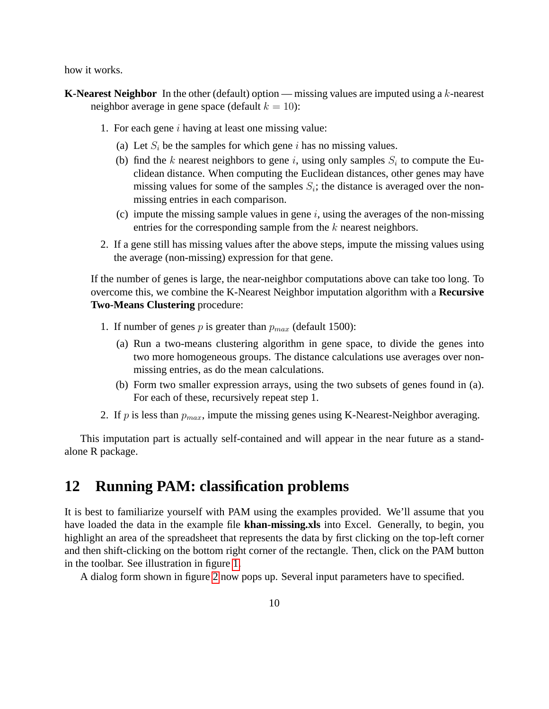how it works.

- **K-Nearest Neighbor** In the other (default) option missing values are imputed using a k-nearest neighbor average in gene space (default  $k = 10$ ):
	- 1. For each gene  $i$  having at least one missing value:
		- (a) Let  $S_i$  be the samples for which gene i has no missing values.
		- (b) find the k nearest neighbors to gene i, using only samples  $S_i$  to compute the Euclidean distance. When computing the Euclidean distances, other genes may have missing values for some of the samples  $S_i$ ; the distance is averaged over the nonmissing entries in each comparison.
		- (c) impute the missing sample values in gene  $i$ , using the averages of the non-missing entries for the corresponding sample from the  $k$  nearest neighbors.
	- 2. If a gene still has missing values after the above steps, impute the missing values using the average (non-missing) expression for that gene.

If the number of genes is large, the near-neighbor computations above can take too long. To overcome this, we combine the K-Nearest Neighbor imputation algorithm with a **Recursive Two-Means Clustering** procedure:

- 1. If number of genes p is greater than  $p_{max}$  (default 1500):
	- (a) Run a two-means clustering algorithm in gene space, to divide the genes into two more homogeneous groups. The distance calculations use averages over nonmissing entries, as do the mean calculations.
	- (b) Form two smaller expression arrays, using the two subsets of genes found in (a). For each of these, recursively repeat step 1.
- 2. If p is less than  $p_{max}$ , impute the missing genes using K-Nearest-Neighbor averaging.

This imputation part is actually self-contained and will appear in the near future as a standalone R package.

## <span id="page-9-0"></span>**12 Running PAM: classification problems**

It is best to familiarize yourself with PAM using the examples provided. We'll assume that you have loaded the data in the example file **khan-missing.xls** into Excel. Generally, to begin, you highlight an area of the spreadsheet that represents the data by first clicking on the top-left corner and then shift-clicking on the bottom right corner of the rectangle. Then, click on the PAM button in the toolbar. See illustration in figure [1.](#page-10-0)

A dialog form shown in figure [2](#page-11-0) now pops up. Several input parameters have to specified.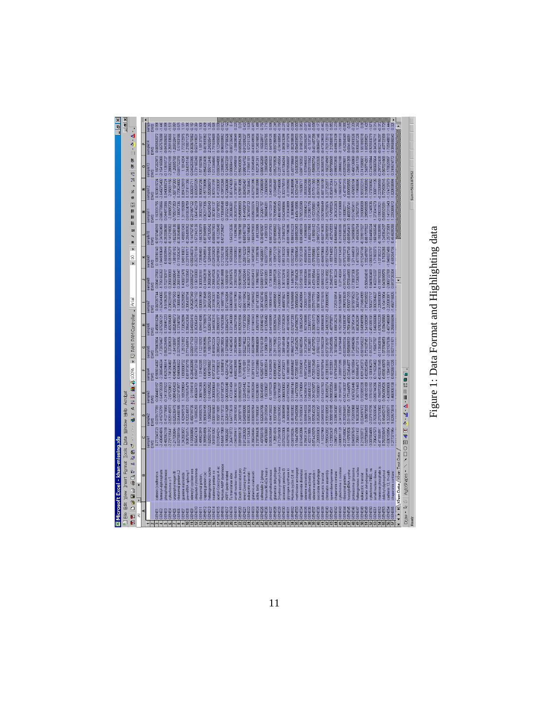|       |                               | 图 Microsoft Excel - khan-missing.xls                                     |                                          |                                                                                               |                             |                               |                               |                               |                               |                               |                                                               |                                |                                          |                               |                               |                               | $\frac{6}{1}$ |
|-------|-------------------------------|--------------------------------------------------------------------------|------------------------------------------|-----------------------------------------------------------------------------------------------|-----------------------------|-------------------------------|-------------------------------|-------------------------------|-------------------------------|-------------------------------|---------------------------------------------------------------|--------------------------------|------------------------------------------|-------------------------------|-------------------------------|-------------------------------|---------------|
|       |                               | <sup>8</sup> Elle Edit View Insert Format Iools Data Window Help Acrobat |                                          |                                                                                               |                             |                               |                               |                               |                               |                               |                                                               |                                |                                          |                               |                               |                               | $-$ 6 $-$     |
| 国     | ø                             | Ø<br>26<br>谷<br>30<br>t<br>四边口                                           | $\sim$ 50 $\times$ 68 $\times$<br>t<br>C | $\omega$<br>9                                                                                 | 6 21 21 11 4 100%           | $\blacktriangleright$         | ø                             | PAM PAM Controller            | Arial                         |                               | $\blacktriangleright$<br>$\supseteq$<br>$\blacktriangleright$ | H<br>ū<br>5<br>m               | 圆<br>₩<br>Ш                              | ř.<br>×,<br>$\aleph$<br>₩     | Ņ,<br>Ņ,<br>89                | $\frac{A}{2}$<br>圆            |               |
|       | হ                             | œ<br>¥                                                                   |                                          | c                                                                                             |                             |                               | G                             |                               |                               |                               |                                                               |                                |                                          |                               | ¢                             |                               |               |
|       |                               |                                                                          | sample1                                  |                                                                                               |                             | sample4                       | Gelqmas                       |                               |                               |                               | Sample9                                                       |                                | sample1                                  |                               |                               | sample <sub>14</sub>          |               |
|       |                               |                                                                          | EWS                                      | EWS                                                                                           | EWS                         | EWS                           | <b>EWS</b>                    |                               | <b>EWS</b>                    | <b>EWS</b>                    | EWS                                                           |                                | <b>EWS</b>                               | EWS                           | EWS                           | EWS                           |               |
|       | GENET                         | amesyl-diphosphate<br>catenin (cadherin-a                                | $-2.438404816$                           | 1877718700- EZ/E4E577.0<br>$-2.415753791$                                                     | -0.084469157<br>1.649739209 | 0.965614087<br>$-2.380546634$ | 0.075663904<br>$-1.72878467$  | 0.458816284<br>$-2.875286121$ | 0.067097744<br>$-1.624044065$ | 0.094127663<br>$-1.795165262$ | 0.108316143<br>$-1,944910649$                                 | 0.970746918<br>$-2.347582459$  | 1.163931755<br>$-2.686778066$            | $-2.645075402$<br>0.503619724 | 1,187202973<br>$-2.154165088$ | 0.005982072<br>-1.657578288   |               |
|       | <b>SENES</b>                  | ohosphofructokinase                                                      | 0.482562158                              | 0.412771683                                                                                   | $-0.241307522$              | 0.625296514                   | 0.852628495                   | 0.135841223                   | 0.51962678                    | 0.702750917                   | 0.60009944                                                    | -0.392006088                   | 0.044973366                              | 0.040085724                   | $-0.113616727$                | -0.843505062                  |               |
|       | <b>NB4</b>                    | >vtochrome c-1                                                           | $-2.721135441$                           | $-2.825145973$                                                                                | $-2.87528612$               | $-1.741256487$                | 0.27269533                    | 0.405398439                   | 0.238229189                   | 0.206036083                   | $-0.05108279$                                                 | -0.141218002                   | $-2.08505728$                            | $-2.95651156 - 2.289682188$   |                               | $-2,268183666$                | $-1.51$       |
|       | <b>NEW</b>                    | III regeorphyrinogen                                                     | $-1.217058044$<br>0.827809184            | 0.054488185<br>$-0.626236475$                                                                 | 0.889405403<br>0.027473977  | 0.949686822<br>0845366394     | 1.84136997<br>0.327935906     | $-2.082646673$<br>0.137847067 | 1,397557553<br>0.138804963    | 0.288181947<br>$-1.868206641$ | $-1, 98195192$<br>0.119204247                                 | $-1, 823250136$<br>0.303540488 | 0.705017353 - 1.587187303<br>1.138057336 | 0.770524802                   | $-1,26655768$<br>0.681732278  | $-1, 209320411$<br>0.51903186 |               |
|       | <b>GINE7</b>                  | ribosomal protein L2<br>guanine nucleotide                               | 1.342603672                              | 1,429497518                                                                                   | 1.159299654                 | 1.093800732                   | 1.25121892                    | 1.733529894                   | 1.825290952                   | 1.406072478                   | 1,849116012                                                   | 1.498551043                    | 1,311193589                              | 0.894126919                   | 1,1814204                     | 1.773272975                   |               |
|       | <b>GENES</b>                  | pre-mRNA splicing                                                        | 0.05704174                               | $-0.120248573$                                                                                | 0.015676479                 | 0.819735778                   | 0.771449914                   | 0.396424364                   | 0.305438794                   | 0.76033843                    | 0.237519717                                                   | -0.206409352                   | 0.610634759                              | 0.137411356                   | 0.344015146                   | $-1.218071729$                |               |
|       | GENES                         | adenylyl cyclase-ass                                                     | 0.133568892                              | 0.456791735                                                                                   | 0.1919418                   | 0.284620098                   | 0.030917103                   | 0.045833416                   | 0.05287349                    | -0.039052727                  | $-0.050346374$                                                | 0.144792745                    | 0.231667122                              | 117180908.0                   | -0.046253385                  | 0.303675962                   |               |
|       | <b>GENETO</b>                 | Jbiquinol-cytochrome                                                     | 0.565427439                              | 0.15905293                                                                                    | 0.496584701                 | 0.994732158                   | 0.278313322                   | 0.352064331                   | $-1,242367192$                | 0.136103083                   | $-0.252701104$                                                | $-1,572142128$                 | 1.064745219                              | 0.692597029                   | 0.731165248                   | 0.507419831                   |               |
|       | <b>GENET1</b>                 | ibosomal protein,                                                        | 1.499823919<br>0.393594936               | 0.380694159<br>1.145909275                                                                    | 1,388741385<br>0.53068253   | 1.01483205<br>0.082501222     | 1.112219292                   | 1.694514085<br>-0.37760678    | 1.830851969<br>1.347073648    | 1,300028161                   | 1,735964831                                                   | 1.582128379<br>0.873949891     | 1.393021682<br>0.062317306               | 0.960537256<br>$-0.157706996$ | -0.854020406<br>1,571507566   | 1,59137577                    | 员             |
|       | <b>JENET</b><br><b>RENETS</b> | neterogeneous nuclea<br>capping protein (ac                              | 1.625921312                              | 1,55652225                                                                                    | 1.614902952                 | 1.047599657                   | 1.18677578<br>0.393635356     | 1.825613242                   | 1.268242539                   | $-0.419462618$<br>1,390834041 | $-1.470545914$<br>1.129044496                                 | 1,457125542                    | 1.402438343                              | 1,553586879                   | 1.550112446                   | 0.461593362<br>2.249205413    | 1.29          |
|       | <b>GENET</b>                  | coatomer protein co                                                      | 0.81819267                               | 0.008166563                                                                                   | 0.208008664                 | 0.972028137                   | 0.418052224                   | 0.344936315                   | $-0.33198233$                 | 0.298547826                   | 0.029325829                                                   | -0.080667903                   | 0.387301137                              | 0.907613191                   | 1.013344845                   | $-1.791559489$                | 0.58          |
|       | <b>ENE15</b>                  | acetyl-Coenzyme A ac                                                     | 0.010544214                              | 0.158711691                                                                                   | 0.079273181                 | 0.170788321                   | 0.386545223                   | -0.396901877                  | $-0.224018934$                | -0.376294731                  | 0.244878043                                                   | $-0.161225648$                 | 1.027187892                              | 0.412308307                   | 0.650344058                   | 0.123455804                   | 0.036         |
|       | <b>BIENETS</b>                | Human AMP deaminas                                                       | 0.545417069                              | $-0.274173722$                                                                                | 0.537340729                 | $-0.0438474$                  | 0.086728004                   | -0.747603366                  | $-0.146877196$                | 0.054014588                   | 0.212042158                                                   | 0.572729427                    | <b>BP06780EZ0-</b>                       | $-0.109703265$                | 0.239803992                   | 0.969300552                   | $-0.927$      |
|       | <b>SENET</b>                  | <b>ARP1</b> (actin-related                                               | 0.186562551                              | 0.325411289                                                                                   | 0.004390348                 | 0.425412746                   | 0.137585663                   | 0.036524775                   | 0572165284                    | 0.16559918                    | 0.210260925                                                   |                                | 0.370321406                              | -0.723606388                  | 0.124957239                   | -0.173758326                  |               |
|       | <b>GENE18</b>                 | <b>Tu</b> translation elon                                               | 1.264719772                              | 1.647773619                                                                                   | 1,472311494                 | 0.45285747                    | 1,147402453                   | 0.331244309                   | 0.696999788                   | 1.287081576                   | 1,150920068                                                   | 1543212636                     | 1,200365381                              | 0.851474839                   | 0.908984103                   | -0.007226045                  | $\equiv$      |
|       | ENE19                         | small nuclear ribonu                                                     | 1.046399417                              | 1,299016353                                                                                   | 0.904362161                 | -0.680230955                  | 1.203482684                   | 0.325627935                   | 0.646107983                   | 1,238316258                   | 1.012000832                                                   | 1.16396298                     | 0.353537015                              | 1.373970611                   | 0.710495819                   | -2.08828049                   |               |
|       | <b>RIANE</b>                  | Death associated pro                                                     | 0.691696128                              | 1.249787116                                                                                   | 0.693697029                 | 0.39386475                    | 0.631165388                   | 0.992901834                   | $-1.422128814$                | 0.563892345                   | $-1,013903561$                                                | 0.197866768                    | 0.545806593                              | 0.578914086                   | 0.550430878                   | -0.650854268                  | 8             |
|       | <b>ENE</b>                    | anoyi Coenzyme A h                                                       | 0.912363029                              | 0.548988085                                                                                   | 0.320415442                 | 0.714761891                   | 0.552274622                   | -0.110373058                  | -0.666115842                  | 0.524255044                   | 0.258742329                                                   | 0.685467769                    | 0.414490919                              | 0.084892467                   | 0.988164782                   | -0.013389237                  |               |
|       |                               | aukaryotic translati                                                     | 1.911126435                              | 1,698236026                                                                                   | 1,571881414                 | 1,11573158                    | 1.222392122                   | 1,777998554                   | 1.786746927                   | 1.463857073                   | 1,857172608                                                   | 1,601748424                    | 1,367493732                              | 1.784130442                   | 1,719941181                   | 1.572151328                   | Ğ             |
|       | ENE23                         | utamic-oxaloaceti                                                        | 0.356246464                              | $-0.836555764$                                                                                | 1.093326284                 | 0.287131921                   | $-1.602462299$<br>0.995804069 | 1.611941043<br>1.435370199    | 1.671473303<br>$-3.172469452$ | $-1652345413$                 | $-2.143873402$                                                | $-1665479303$                  | $-0.635633274$<br>1.363486222            | -0.627921396                  | 0.125045489                   | -0.438349935                  |               |
|       |                               | calmodulin 2 (phosp<br>ictin, beta                                       | 0.737355435<br>1,437605155               | 0.117883041<br>1.620021706                                                                    | 1,503454981<br>0.532861051  | 0.57233456<br>0.928574971     | 0.701016139                   | 1.010946152                   | -0.387428746                  | 1.195678502<br>0.596911573    | 1.77335786<br>$-0.148268017$                                  | 1,45123905<br>0.394875907      | 1.312001757                              | 1.173688839<br>0.993510999    | 1.527251241<br>0.808126289    | 1.160020917<br>0.724015804    |               |
|       |                               | Human 90-kDa heat-s                                                      | 1.488760693                              | 1.091251934                                                                                   | 1,50338827                  | 1.069835514                   | 1,129561709                   | 1.613290482                   | 1.050366976                   | 1,345810851                   | 1.603077729                                                   | 1,43891053                     | 1.386694281                              | 1,236865848                   | 1,339045509                   | 1,233055765                   |               |
|       |                               | phosphofructokinase                                                      | 0.053635549                              | $-0.444725822$                                                                                | 0.13079229                  | 0.316269529                   | 0.788320987                   | $-0.641693899$                | $-1.189084192$                | 0.73611088                    | 0.295799041                                                   | 0.887273783                    | 0.167123313                              | 1,040135359                   | 0.494269322                   | $-1.647659125$                |               |
|       |                               | alutamate dehydrogen                                                     | 1,26514316                               | 1,330781651                                                                                   | 1,016678906                 | 0.089049817                   | 0.291175962                   | 0.008265744 - 0.446599651     |                               | 0.228887026                   | $-1.109572129$                                                | 0.076590602                    | 0.763559045                              | 0.03469497                    | 0.652793826                   | -0.037286585                  |               |
|       |                               | 3-hydroxymethyl-3-me                                                     | 0.712941808                              | $-0.631863952$                                                                                | 0.507996297                 | 0.074086543                   | 0.063792133                   | $-1,777856564 - 1,744685062$  |                               | 0.099157572                   | $-1,493879572$                                                | 0.244494877                    | $-0.406165353$                           | 0.727945686                   | 0.225145554                   | $-0.94160854$                 |               |
|       |                               | accessory proteins B                                                     | -0.076233306                             | 0.36686959                                                                                    | 0.066630082                 | 0.077205071                   | 1.069149149                   | 0.077053629                   | 0.469878621                   | 1,351702916                   | 0.951310325                                                   | 1.378463782                    | 0.542498694                              | 0.302176519                   | 0.417064244                   | -1093923299                   |               |
|       |                               | glycogen synthase ki                                                     | 0.627921396                              | $-1.340556469$                                                                                | 0.673932962                 | 0.138891999                   | 0.952954716                   | $-1.481924592$                | -1.275826908                  | -0.980829253                  | $-1,231344001$                                                | -0.091786396                   | 6685709181-                              | 0.31992962                    | 0.578926037                   | $-1.190727578$                |               |
|       |                               | Human cyclin G1 int                                                      | 0.049190244                              | 0.451903302                                                                                   | 0.314664744                 | 0.484995447                   | 0.956472522                   | -0.074077203                  | 0.57846558                    | 1.144573057                   | 0.032273561                                                   | 0.865334223                    | 0.38369655                               | 0.253245895                   | 0.437738689                   | -1002938539                   |               |
|       |                               | methionine aminopep                                                      | 3.184474398                              | 2.179482896                                                                                   | 2.144727008                 | 0.722651603                   | $-2.24620476$                 | $-2.647896278$                | $-1,005668543$                | $-2.271086426$                | $-3.12366645$                                                 | $-1,088562953$                 | $-0.449416996$                           | 0.923107445                   | 0.63620639                    | 0.584503503                   |               |
|       |                               | superoxide dismutas                                                      | 0.616482096                              | 0.117658043                                                                                   | 0.247719084                 | 0.91055431                    | 0.607480354                   | 0.86052429                    | 0.464299894                   | 0.515813165                   | 0.757201209                                                   | 0.092488019                    | 0.765328298                              | 1,116386717                   | 0.697139202                   | 1.019821575                   | 0.957         |
|       |                               | adenine nucleotide t<br>ubiquitin-activating                             | 0.784312418<br>1.422119894               | 0.559844333<br>1.047178634                                                                    | 0.942854763<br>1.048406122  | 0.997243794<br>0.58650807     | 1.313347253<br>1,195224651    | 1.223657778<br>1,907436585    | 1.681665546<br>1.702837177    | 1.345159818<br>1.455890384    | 1.450090419<br>1,831813169                                    | 1,43596509<br>1.466213984      | 318604212<br>1.012981776                 | 1,053301066<br>0.649404258    | 0.829119342<br>570946533      | -0.1537341<br>0.200355297     |               |
|       |                               | denine nucleotide                                                        | 0.874429278                              | 0.553540226                                                                                   | 0.291823972                 | 0.720312849                   | 0.46473752                    | $-0.268010173$                | 0.078177781                   | $-0.453185844$                | 0.379358861                                                   | $-0.19650162$                  | $-0.152335661$                           | $-0.517011383$                | $-1.599982754$                | 0.461467298                   |               |
|       |                               | succinate dehydroge                                                      | -1.226559303                             | 1052683357                                                                                    | 1,753865817                 | 0.082078111                   | 1.876011022                   | $-0.931150595$                | $-1.887169654$                | $-1,935860813$                | $-2.037915795$                                                | $-2.995732274$                 | -0.070422464                             | 0.091019398                   | 0.216320326                   | 0.869407146                   |               |
|       | NUS<br>Album                  | sukaryotic translat                                                      | $-1.15327969$                            | -0.045939232                                                                                  | 0.514331763                 | -0.937769764                  | $-0.517850239$                | $-1,050965635$                | $-0.577321615$                | $-0.585010522$                | $-0.484670666$                                                | $-0.560716393$                 | 0.057995849                              | $-0.687165109$                | 0.363555705                   | 0.473529839                   |               |
|       | <b>GNE40</b>                  | chromatin assembly                                                       | 1595042032                               | $-1,935168053$                                                                                | $-1.383498274$              | 0.338133616                   | -0.673736787                  | 0.340239323                   | -0.708666992                  | $-0.747814582$                | $-0.557742544$                                                | 1,256670593                    | $-1315276874$                            | 0.277252877                   | $-1.160274949$                | $-1,763172012$                | $-1.07$       |
|       | <b>ENE41</b>                  | spermidine/spermine                                                      | 2.123602437                              | $-0.388018195$                                                                                | 0.898205264                 | $-1.161232651$                | $-1.216045366$                | $-1.46707067$                 |                               | $-1.294627173$                | $-1.165714092$                                                | $-1.462743533$                 | 0.174709324                              | $-0.004912044$                | -0.587706668                  | 1.212060015                   |               |
|       | ENE42                         | chaperonin containi                                                      | 1.098712284                              | 1.039534387                                                                                   | 0.965118991                 | 0.979152849                   | 1.301580343                   | 1.698126216                   | 1.725316914                   | 1.490136224                   |                                                               | 0.649665402                    | 1.263420263                              | 1.149115271                   | 0.998570935                   | 0.499623109                   |               |
|       | <b>ENE43</b>                  | cytochrome c oxidase                                                     | $-2.600991129$                           | 2.341325921                                                                                   | 2.191043718                 | $-1,200977295$                | 0.33475648                    | 0.152120048                   | 0.519269871                   | 0.27140024                    | 1.65932229<br>0.027712439                                     | 0.216320326                    | $-2.193730688$                           | 2.166307475                   | $-2.288682188$                | 2.178599113                   |               |
|       | <b>GENE44</b>                 | ibosomal protein.                                                        | 0.220148042                              | 0.392694451                                                                                   | 0.542144307                 | 0.025317808                   | 0.833559334                   | -0.743388397                  | -1.998783639                  | $-0.917041013$                | 0.975775379                                                   | 1.028340236                    | $-0.180802711$                           | -0.47997316                   | 0.839329691                   | $-0.62064049$                 |               |
|       | <b>GENE45</b>                 | histidyl-tRIVA synthe                                                    | 0.118783535                              | 0.011038847                                                                                   | Q173448978                  | 0.224644677                   | 0.565809932                   | $-0.750140902$                | -0.533071233                  | -0.570044983                  | $-0.188017749$                                                | $-0.009545413$                 | 0.460836741                              | -0.690550555                  | 1.093901209                   | 0.694146681                   |               |
|       | <b>GRENERS</b><br>ENE47       | oroteasome (prosome                                                      | 0.846597615<br>1,705511437               | 0.702651868<br>1.163025802                                                                    | 0.67620446                  | 0.999454717<br>0.136015804    | 0.724694296                   | 0.297954134<br>1,66352829     | 0.975879523<br>1.360745757    | 0.738837306<br>1,172667878    | 1.271444519<br>1,477756237                                    | 1,340956979<br>1,495305704     | 0.517483411<br>375637781                 | 0.476855104<br>1,119590695    | 0.468126669                   | 0.072893326<br>0.935387226    |               |
|       | <b>ENE48</b>                  | neterogeneous nuclea                                                     |                                          |                                                                                               | 1.357174463                 | 0.691245373                   | 1.072713115                   | 0.040949986                   |                               |                               |                                                               | -0.339817827                   |                                          |                               | 1,234511709                   |                               |               |
|       | <b>GNEWS</b>                  | actate dehydrogenas<br>sukaryotic translat                               | 1.027080483<br>0.215030731               | 0.024497472<br>0.88673833                                                                     | 0.932085338<br>0.86103169   | 0.823824504                   | 0.601845022<br>0.721637451    | 1.341009297                   | 1.774528532<br>0.718464989    | 0.509404615                   | 0.912547746<br>1.332497937                                    | 0.861707822                    | 1,316006008<br>1.295959285               | 0.583332315<br>0.318962692    | 0.741508681<br>1,348774201    | 1.651865018<br>1.692859521    |               |
|       | <b>GENERO</b>                 | cytochrome P450, su                                                      | 3,007804855                              | $-2.037915795$                                                                                | $-1,976163192$              | 2.106196279                   | 1817077277                    | $-2.451065101$                | -1503277717                   | $-1, 849600469$               | $-2.068303797$                                                | $-1.834458224$                 | $-1.1248536$                             | $-1.173766962$                | -0.724018844                  | 0.925583779                   | 67            |
|       | GENE5                         | small nuclear ribonu                                                     | 1.706437573                              | 0.763559045                                                                                   | 0.690744296                 | 0.711625402                   | 1,15857787                    | 1.046265808                   | 0.902394627                   | 1402315337                    | 1.71983373                                                    | 1.681665546                    | 1,273041673                              | 1,308711126                   | 0.983687664                   | 0.343476711                   | ទី            |
|       | <b>GENES2</b>                 | mannose phosphate                                                        | 0.471604911                              | -0.275753502                                                                                  | 0.194070304                 | 0.502361545                   | $-0.113840816$                | -1,678252228                  | $-1,226900309$                | -0.199793303                  | $-1,07382212$                                                 | 0.198328995                    | $-0.109033921$                           | 0.223268559                   | 0.297732408                   | 0.502196297                   | 0.37          |
|       | <b>GENESS</b>                 | dolichyl-diphosphool                                                     | 0.763326015                              | 0.184652172                                                                                   | 0.584280526                 | 0.903610679                   | 1.073704653                   | 0.09430968                    | $-0.10413904$                 | 1.04309579                    | 0.7626266                                                     | 1.245364237                    | 0839323291                               | 0.772928316                   | 0.967021868                   | $-1.407722309$                |               |
|       | GENE54                        | cadherin 13, H-cadh                                                      | 630150954                                | $-1,322005871$                                                                                | $-1,420885806$              | $-1.130412601$                | $-2.021927636$                | $-2.407945609$                | $-2.220083871$                | $-2.066722769$                | $-1.940027486$                                                | $-1, 257373581$                | 1.141311043                              | $-1.174737679$                | $-1.178629997$                | 1.705948813                   | 1.444         |
|       | GENE55                        | chaperonin containi                                                      | 277371954                                | 1,629573818                                                                                   | 1,466906138                 | 0.902881225                   | 0.927111971                   | 0.250655694                   | $-1,456716825$                | 0.813726304                   | -0.69254736                                                   | 0.454509208                    | 1,229289612                              | 1.020938994                   | 0749574772                    | 0.395886042                   | 0.328         |
|       |                               | I I > IN \Khan Data / Khan Test Data                                     |                                          |                                                                                               |                             |                               |                               |                               |                               |                               |                                                               |                                |                                          |                               |                               |                               |               |
|       |                               | Oロメノ - sadebgary   a & - weal                                            | 1回<br>囲                                  | $\frac{\delta}{\delta} \cdot \frac{1}{\delta} \cdot \frac{\delta}{\delta} = \frac{1}{\delta}$ |                             | ⊆<br>o                        |                               |                               |                               |                               |                                                               |                                |                                          |                               |                               |                               |               |
| Ready |                               |                                                                          |                                          |                                                                                               |                             |                               |                               |                               |                               |                               |                                                               |                                |                                          | Sum=-5023,875452              |                               |                               |               |

<span id="page-10-0"></span>Figure 1: Data Format and Highlighting data Figure 1: Data Format and Highlighting data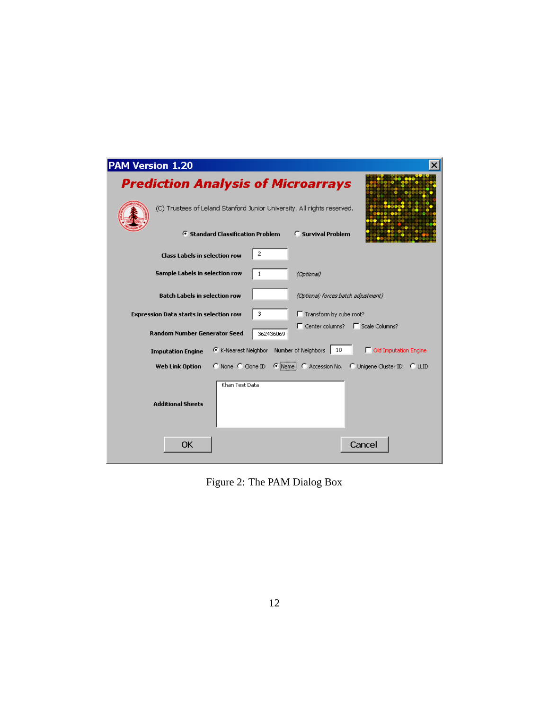| PAM Version 1.20 |                                                                                                     |  |
|------------------|-----------------------------------------------------------------------------------------------------|--|
|                  | <b>Prediction Analysis of Microarrays</b>                                                           |  |
|                  | (C) Trustees of Leland Stanford Junior University. All rights reserved.                             |  |
|                  | <b>G</b> Standard Classification Problem<br><b>C</b> Survival Problem                               |  |
|                  | $\overline{2}$<br><b>Class Labels in selection row</b>                                              |  |
|                  | Sample Labels in selection row<br>1<br>(Optional)                                                   |  |
|                  | <b>Batch Labels in selection row</b><br>(Optional; forces batch adjustment)                         |  |
|                  | 3<br>Transform by cube root?<br><b>Expression Data starts in selection row</b>                      |  |
|                  | □ Center columns? □ Scale Columns?<br>Random Number Generator Seed<br>362436069                     |  |
|                  | C K-Nearest Neighbor Number of Neighbors<br>10<br>Old Imputation Engine<br><b>Imputation Engine</b> |  |
|                  | C None C Clone ID<br>C Name C Accession No. C Unigene Cluster ID C LLID<br><b>Web Link Option</b>   |  |
|                  | Khan Test Data<br><b>Additional Sheets</b>                                                          |  |
|                  | Cancel<br>ОК                                                                                        |  |

<span id="page-11-0"></span>Figure 2: The PAM Dialog Box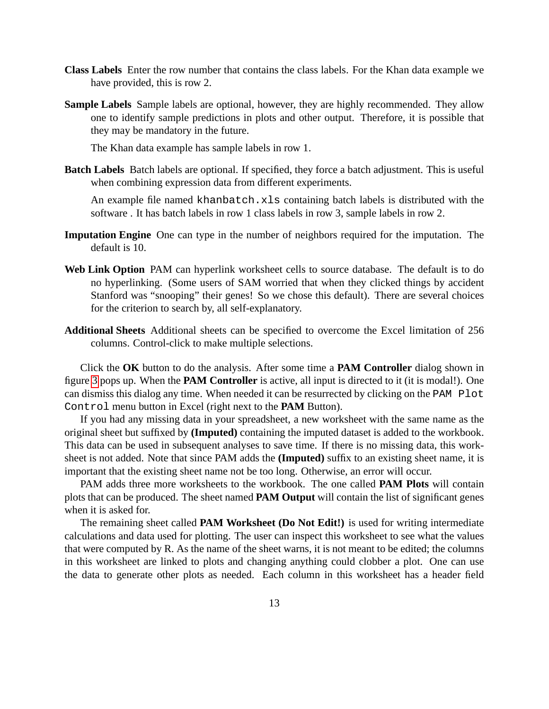- **Class Labels** Enter the row number that contains the class labels. For the Khan data example we have provided, this is row 2.
- **Sample Labels** Sample labels are optional, however, they are highly recommended. They allow one to identify sample predictions in plots and other output. Therefore, it is possible that they may be mandatory in the future.

The Khan data example has sample labels in row 1.

**Batch Labels** Batch labels are optional. If specified, they force a batch adjustment. This is useful when combining expression data from different experiments.

An example file named khanbatch.xls containing batch labels is distributed with the software . It has batch labels in row 1 class labels in row 3, sample labels in row 2.

- **Imputation Engine** One can type in the number of neighbors required for the imputation. The default is 10.
- **Web Link Option** PAM can hyperlink worksheet cells to source database. The default is to do no hyperlinking. (Some users of SAM worried that when they clicked things by accident Stanford was "snooping" their genes! So we chose this default). There are several choices for the criterion to search by, all self-explanatory.
- **Additional Sheets** Additional sheets can be specified to overcome the Excel limitation of 256 columns. Control-click to make multiple selections.

Click the **OK** button to do the analysis. After some time a **PAM Controller** dialog shown in figure [3](#page-13-1) pops up. When the **PAM Controller** is active, all input is directed to it (it is modal!). One can dismiss this dialog any time. When needed it can be resurrected by clicking on the PAM Plot Control menu button in Excel (right next to the **PAM** Button).

If you had any missing data in your spreadsheet, a new worksheet with the same name as the original sheet but suffixed by **(Imputed)** containing the imputed dataset is added to the workbook. This data can be used in subsequent analyses to save time. If there is no missing data, this worksheet is not added. Note that since PAM adds the **(Imputed)** suffix to an existing sheet name, it is important that the existing sheet name not be too long. Otherwise, an error will occur.

PAM adds three more worksheets to the workbook. The one called **PAM Plots** will contain plots that can be produced. The sheet named **PAM Output** will contain the list of significant genes when it is asked for.

The remaining sheet called **PAM Worksheet (Do Not Edit!)** is used for writing intermediate calculations and data used for plotting. The user can inspect this worksheet to see what the values that were computed by R. As the name of the sheet warns, it is not meant to be edited; the columns in this worksheet are linked to plots and changing anything could clobber a plot. One can use the data to generate other plots as needed. Each column in this worksheet has a header field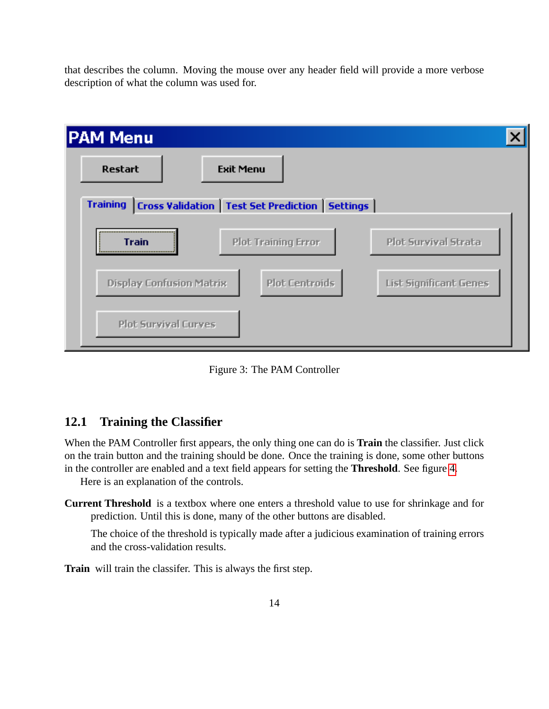that describes the column. Moving the mouse over any header field will provide a more verbose description of what the column was used for.



<span id="page-13-1"></span>Figure 3: The PAM Controller

#### <span id="page-13-0"></span>**12.1 Training the Classifier**

When the PAM Controller first appears, the only thing one can do is **Train** the classifier. Just click on the train button and the training should be done. Once the training is done, some other buttons in the controller are enabled and a text field appears for setting the **Threshold**. See figure [4.](#page-14-0)

Here is an explanation of the controls.

**Current Threshold** is a textbox where one enters a threshold value to use for shrinkage and for prediction. Until this is done, many of the other buttons are disabled.

The choice of the threshold is typically made after a judicious examination of training errors and the cross-validation results.

**Train** will train the classifer. This is always the first step.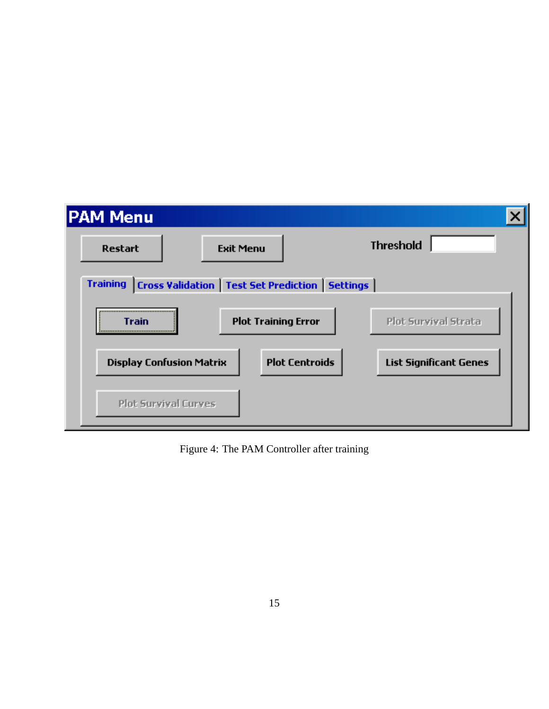| <b>PAM Menu</b>                 |                                                            |                               |
|---------------------------------|------------------------------------------------------------|-------------------------------|
| <b>Restart</b>                  | <b>Exit Menu</b>                                           | <b>Threshold</b>              |
| <b>Training</b>                 | <b>Cross Validation   Test Set Prediction   Settings  </b> |                               |
| <br>Train                       | <b>Plot Training Error</b>                                 | Plot Survival Strata          |
| <b>Display Confusion Matrix</b> | <b>Plot Centroids</b>                                      | <b>List Significant Genes</b> |
| <b>Plot Survival Curves</b>     |                                                            |                               |

<span id="page-14-0"></span>Figure 4: The PAM Controller after training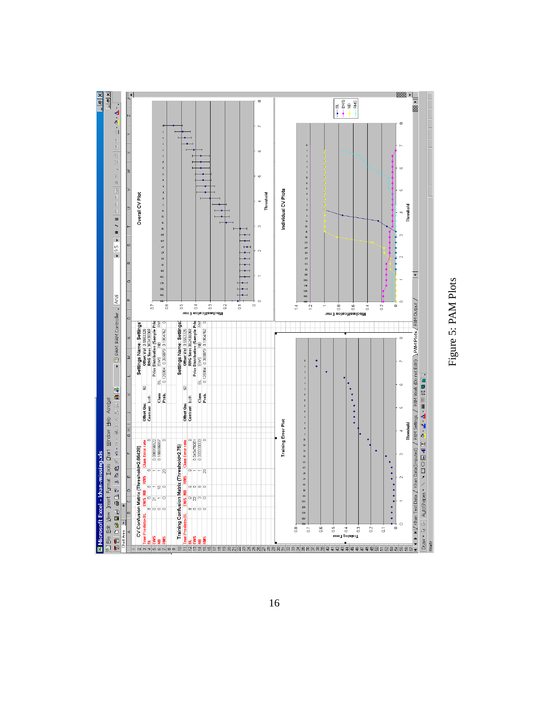

<span id="page-15-0"></span>Figure 5: PAM Plots Figure 5: PAM Plots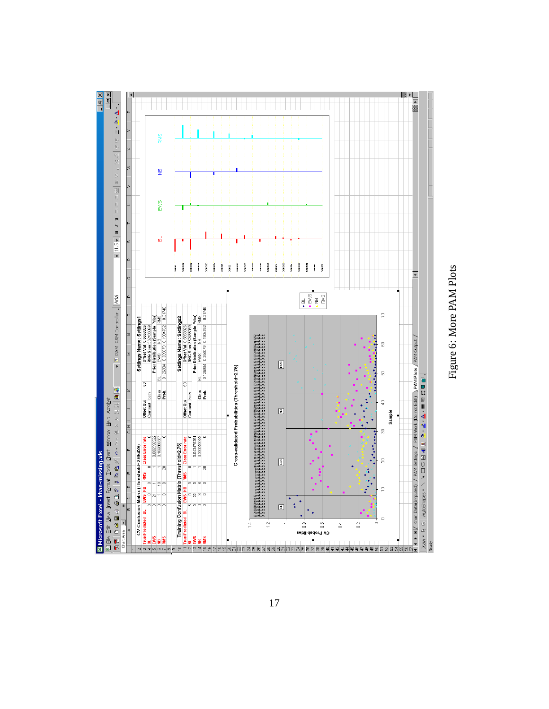

<span id="page-16-0"></span>Figure 6: More PAM Plots Figure 6: More PAM Plots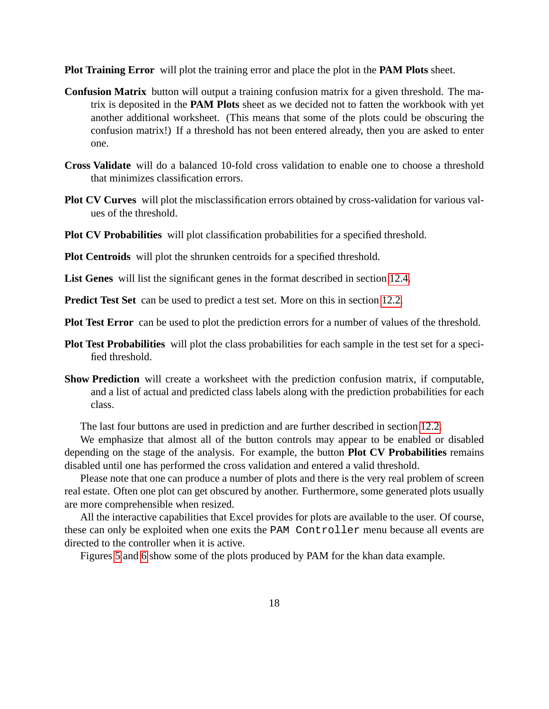**Plot Training Error** will plot the training error and place the plot in the **PAM Plots** sheet.

- **Confusion Matrix** button will output a training confusion matrix for a given threshold. The matrix is deposited in the **PAM Plots** sheet as we decided not to fatten the workbook with yet another additional worksheet. (This means that some of the plots could be obscuring the confusion matrix!) If a threshold has not been entered already, then you are asked to enter one.
- **Cross Validate** will do a balanced 10-fold cross validation to enable one to choose a threshold that minimizes classification errors.
- **Plot CV Curves** will plot the misclassification errors obtained by cross-validation for various values of the threshold.
- **Plot CV Probabilities** will plot classification probabilities for a specified threshold.

**Plot Centroids** will plot the shrunken centroids for a specified threshold.

**List Genes** will list the significant genes in the format described in section [12.4.](#page-22-0)

**Predict Test Set** can be used to predict a test set. More on this in section [12.2.](#page-21-0)

**Plot Test Error** can be used to plot the prediction errors for a number of values of the threshold.

- **Plot Test Probabilities** will plot the class probabilities for each sample in the test set for a specified threshold.
- **Show Prediction** will create a worksheet with the prediction confusion matrix, if computable, and a list of actual and predicted class labels along with the prediction probabilities for each class.

The last four buttons are used in prediction and are further described in section [12.2.](#page-21-0)

We emphasize that almost all of the button controls may appear to be enabled or disabled depending on the stage of the analysis. For example, the button **Plot CV Probabilities** remains disabled until one has performed the cross validation and entered a valid threshold.

Please note that one can produce a number of plots and there is the very real problem of screen real estate. Often one plot can get obscured by another. Furthermore, some generated plots usually are more comprehensible when resized.

All the interactive capabilities that Excel provides for plots are available to the user. Of course, these can only be exploited when one exits the PAM Controller menu because all events are directed to the controller when it is active.

Figures [5](#page-15-0) and [6](#page-16-0) show some of the plots produced by PAM for the khan data example.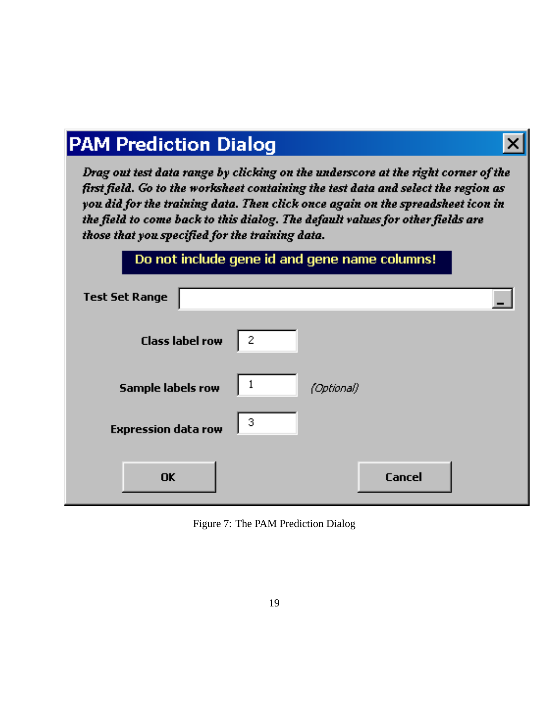# **PAM Prediction Dialog**

Drag out test data range by clicking on the underscore at the right corner of the first field. Go to the worksheet containing the test data and select the region as you did for the training data. Then click once again on the spreadsheet icon in the field to come back to this dialog. The default values for other fields are those that you specified for the training data.

 $\boldsymbol{\mathsf{x}}$ 

|                            |                | Do not include gene la and gene name columns! |  |
|----------------------------|----------------|-----------------------------------------------|--|
| <b>Test Set Range</b>      |                |                                               |  |
| <b>Class label row</b>     | $\overline{2}$ |                                               |  |
| <b>Sample labels row</b>   | 1              | (Optional)                                    |  |
| <b>Expression data row</b> | 3              |                                               |  |
| <b>OK</b>                  |                | Cancel                                        |  |

<span id="page-18-0"></span>Figure 7: The PAM Prediction Dialog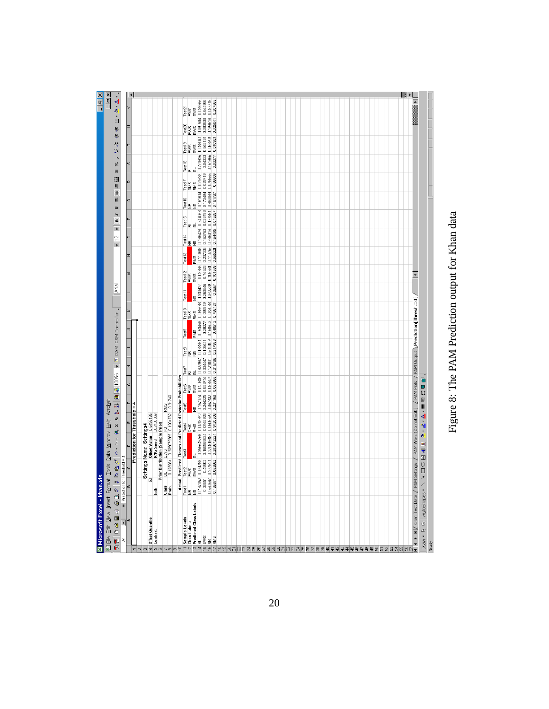

# <span id="page-19-0"></span>Figure 8: The PAM Prediction output for Khan data Figure 8: The PAM Prediction output for Khan data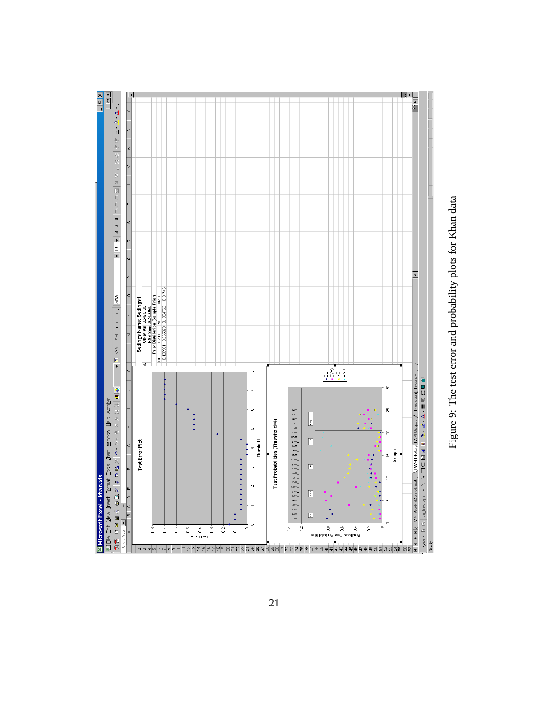

<span id="page-20-0"></span>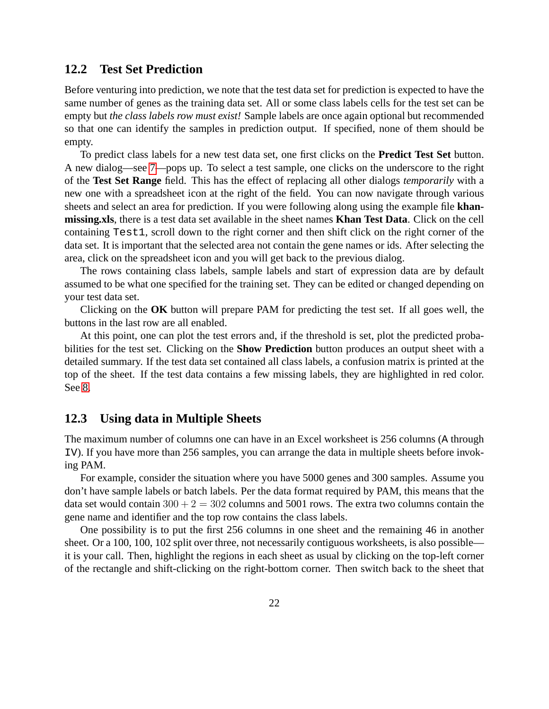#### <span id="page-21-0"></span>**12.2 Test Set Prediction**

Before venturing into prediction, we note that the test data set for prediction is expected to have the same number of genes as the training data set. All or some class labels cells for the test set can be empty but *the class labels row must exist!* Sample labels are once again optional but recommended so that one can identify the samples in prediction output. If specified, none of them should be empty.

To predict class labels for a new test data set, one first clicks on the **Predict Test Set** button. A new dialog—see [7—](#page-18-0)pops up. To select a test sample, one clicks on the underscore to the right of the **Test Set Range** field. This has the effect of replacing all other dialogs *temporarily* with a new one with a spreadsheet icon at the right of the field. You can now navigate through various sheets and select an area for prediction. If you were following along using the example file **khanmissing.xls**, there is a test data set available in the sheet names **Khan Test Data**. Click on the cell containing Test1, scroll down to the right corner and then shift click on the right corner of the data set. It is important that the selected area not contain the gene names or ids. After selecting the area, click on the spreadsheet icon and you will get back to the previous dialog.

The rows containing class labels, sample labels and start of expression data are by default assumed to be what one specified for the training set. They can be edited or changed depending on your test data set.

Clicking on the **OK** button will prepare PAM for predicting the test set. If all goes well, the buttons in the last row are all enabled.

At this point, one can plot the test errors and, if the threshold is set, plot the predicted probabilities for the test set. Clicking on the **Show Prediction** button produces an output sheet with a detailed summary. If the test data set contained all class labels, a confusion matrix is printed at the top of the sheet. If the test data contains a few missing labels, they are highlighted in red color. See [8.](#page-19-0)

#### <span id="page-21-1"></span>**12.3 Using data in Multiple Sheets**

The maximum number of columns one can have in an Excel worksheet is 256 columns (A through IV). If you have more than 256 samples, you can arrange the data in multiple sheets before invoking PAM.

For example, consider the situation where you have 5000 genes and 300 samples. Assume you don't have sample labels or batch labels. Per the data format required by PAM, this means that the data set would contain  $300 + 2 = 302$  columns and  $5001$  rows. The extra two columns contain the gene name and identifier and the top row contains the class labels.

One possibility is to put the first 256 columns in one sheet and the remaining 46 in another sheet. Or a 100, 100, 102 split over three, not necessarily contiguous worksheets, is also possible it is your call. Then, highlight the regions in each sheet as usual by clicking on the top-left corner of the rectangle and shift-clicking on the right-bottom corner. Then switch back to the sheet that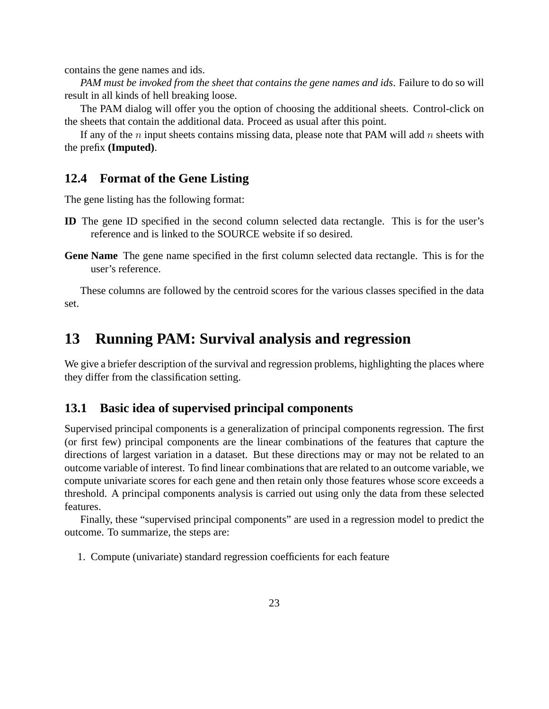contains the gene names and ids.

*PAM must be invoked from the sheet that contains the gene names and ids*. Failure to do so will result in all kinds of hell breaking loose.

The PAM dialog will offer you the option of choosing the additional sheets. Control-click on the sheets that contain the additional data. Proceed as usual after this point.

If any of the n input sheets contains missing data, please note that PAM will add n sheets with the prefix **(Imputed)**.

#### <span id="page-22-0"></span>**12.4 Format of the Gene Listing**

The gene listing has the following format:

- **ID** The gene ID specified in the second column selected data rectangle. This is for the user's reference and is linked to the SOURCE website if so desired.
- **Gene Name** The gene name specified in the first column selected data rectangle. This is for the user's reference.

These columns are followed by the centroid scores for the various classes specified in the data set.

# <span id="page-22-1"></span>**13 Running PAM: Survival analysis and regression**

We give a briefer description of the survival and regression problems, highlighting the places where they differ from the classification setting.

#### <span id="page-22-2"></span>**13.1 Basic idea of supervised principal components**

Supervised principal components is a generalization of principal components regression. The first (or first few) principal components are the linear combinations of the features that capture the directions of largest variation in a dataset. But these directions may or may not be related to an outcome variable of interest. To find linear combinations that are related to an outcome variable, we compute univariate scores for each gene and then retain only those features whose score exceeds a threshold. A principal components analysis is carried out using only the data from these selected features.

Finally, these "supervised principal components" are used in a regression model to predict the outcome. To summarize, the steps are:

1. Compute (univariate) standard regression coefficients for each feature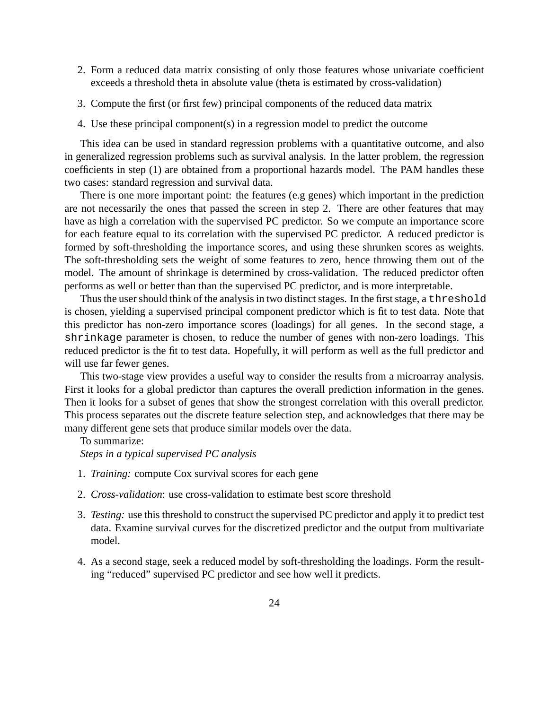- 2. Form a reduced data matrix consisting of only those features whose univariate coefficient exceeds a threshold theta in absolute value (theta is estimated by cross-validation)
- 3. Compute the first (or first few) principal components of the reduced data matrix
- 4. Use these principal component(s) in a regression model to predict the outcome

This idea can be used in standard regression problems with a quantitative outcome, and also in generalized regression problems such as survival analysis. In the latter problem, the regression coefficients in step (1) are obtained from a proportional hazards model. The PAM handles these two cases: standard regression and survival data.

There is one more important point: the features (e.g genes) which important in the prediction are not necessarily the ones that passed the screen in step 2. There are other features that may have as high a correlation with the supervised PC predictor. So we compute an importance score for each feature equal to its correlation with the supervised PC predictor. A reduced predictor is formed by soft-thresholding the importance scores, and using these shrunken scores as weights. The soft-thresholding sets the weight of some features to zero, hence throwing them out of the model. The amount of shrinkage is determined by cross-validation. The reduced predictor often performs as well or better than than the supervised PC predictor, and is more interpretable.

Thus the user should think of the analysis in two distinct stages. In the first stage, a threshold is chosen, yielding a supervised principal component predictor which is fit to test data. Note that this predictor has non-zero importance scores (loadings) for all genes. In the second stage, a shrinkage parameter is chosen, to reduce the number of genes with non-zero loadings. This reduced predictor is the fit to test data. Hopefully, it will perform as well as the full predictor and will use far fewer genes.

This two-stage view provides a useful way to consider the results from a microarray analysis. First it looks for a global predictor than captures the overall prediction information in the genes. Then it looks for a subset of genes that show the strongest correlation with this overall predictor. This process separates out the discrete feature selection step, and acknowledges that there may be many different gene sets that produce similar models over the data.

#### To summarize:

*Steps in a typical supervised PC analysis*

- 1. *Training:* compute Cox survival scores for each gene
- 2. *Cross-validation*: use cross-validation to estimate best score threshold
- 3. *Testing:* use this threshold to construct the supervised PC predictor and apply it to predict test data. Examine survival curves for the discretized predictor and the output from multivariate model.
- 4. As a second stage, seek a reduced model by soft-thresholding the loadings. Form the resulting "reduced" supervised PC predictor and see how well it predicts.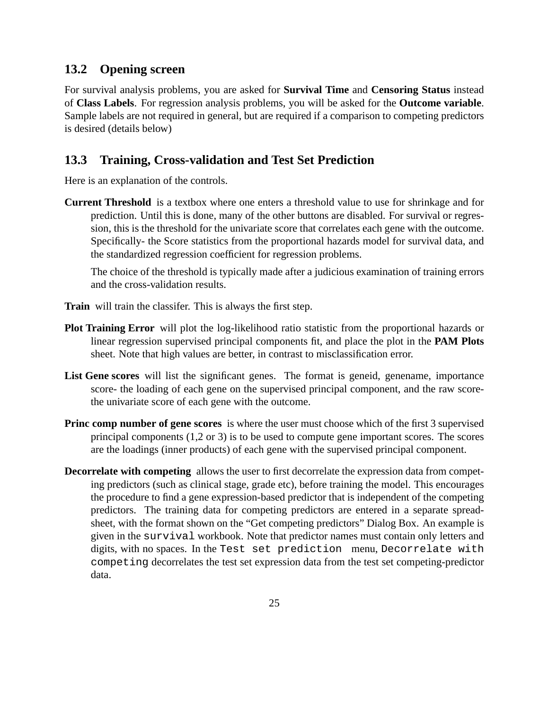#### <span id="page-24-0"></span>**13.2 Opening screen**

For survival analysis problems, you are asked for **Survival Time** and **Censoring Status** instead of **Class Labels**. For regression analysis problems, you will be asked for the **Outcome variable**. Sample labels are not required in general, but are required if a comparison to competing predictors is desired (details below)

#### <span id="page-24-1"></span>**13.3 Training, Cross-validation and Test Set Prediction**

Here is an explanation of the controls.

**Current Threshold** is a textbox where one enters a threshold value to use for shrinkage and for prediction. Until this is done, many of the other buttons are disabled. For survival or regression, this is the threshold for the univariate score that correlates each gene with the outcome. Specifically- the Score statistics from the proportional hazards model for survival data, and the standardized regression coefficient for regression problems.

The choice of the threshold is typically made after a judicious examination of training errors and the cross-validation results.

- **Train** will train the classifer. This is always the first step.
- **Plot Training Error** will plot the log-likelihood ratio statistic from the proportional hazards or linear regression supervised principal components fit, and place the plot in the **PAM Plots** sheet. Note that high values are better, in contrast to misclassification error.
- List Gene scores will list the significant genes. The format is geneid, genename, importance score- the loading of each gene on the supervised principal component, and the raw scorethe univariate score of each gene with the outcome.
- **Princ comp number of gene scores** is where the user must choose which of the first 3 supervised principal components (1,2 or 3) is to be used to compute gene important scores. The scores are the loadings (inner products) of each gene with the supervised principal component.
- **Decorrelate with competing** allows the user to first decorrelate the expression data from competing predictors (such as clinical stage, grade etc), before training the model. This encourages the procedure to find a gene expression-based predictor that is independent of the competing predictors. The training data for competing predictors are entered in a separate spreadsheet, with the format shown on the "Get competing predictors" Dialog Box. An example is given in the survival workbook. Note that predictor names must contain only letters and digits, with no spaces. In the Test set prediction menu, Decorrelate with competing decorrelates the test set expression data from the test set competing-predictor data.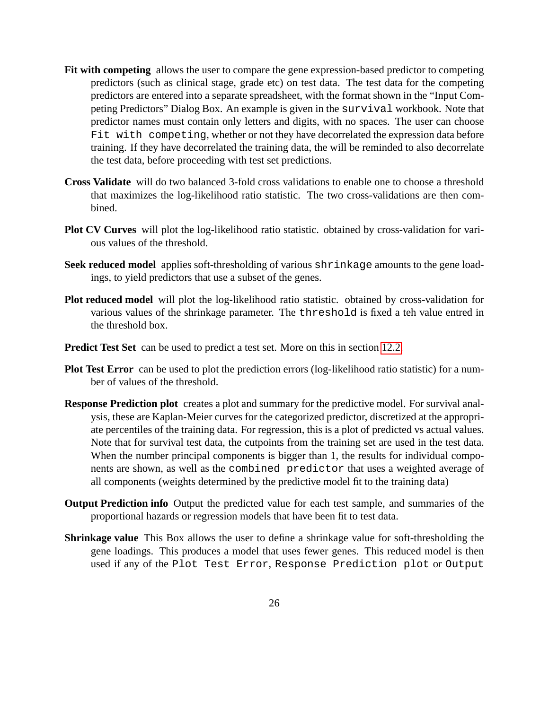- **Fit with competing** allows the user to compare the gene expression-based predictor to competing predictors (such as clinical stage, grade etc) on test data. The test data for the competing predictors are entered into a separate spreadsheet, with the format shown in the "Input Competing Predictors" Dialog Box. An example is given in the survival workbook. Note that predictor names must contain only letters and digits, with no spaces. The user can choose Fit with competing, whether or not they have decorrelated the expression data before training. If they have decorrelated the training data, the will be reminded to also decorrelate the test data, before proceeding with test set predictions.
- **Cross Validate** will do two balanced 3-fold cross validations to enable one to choose a threshold that maximizes the log-likelihood ratio statistic. The two cross-validations are then combined.
- **Plot CV Curves** will plot the log-likelihood ratio statistic. obtained by cross-validation for various values of the threshold.
- **Seek reduced model** applies soft-thresholding of various shrinkage amounts to the gene loadings, to yield predictors that use a subset of the genes.
- **Plot reduced model** will plot the log-likelihood ratio statistic. obtained by cross-validation for various values of the shrinkage parameter. The threshold is fixed a teh value entred in the threshold box.
- **Predict Test Set** can be used to predict a test set. More on this in section [12.2.](#page-21-0)
- **Plot Test Error** can be used to plot the prediction errors (log-likelihood ratio statistic) for a number of values of the threshold.
- **Response Prediction plot** creates a plot and summary for the predictive model. For survival analysis, these are Kaplan-Meier curves for the categorized predictor, discretized at the appropriate percentiles of the training data. For regression, this is a plot of predicted vs actual values. Note that for survival test data, the cutpoints from the training set are used in the test data. When the number principal components is bigger than 1, the results for individual components are shown, as well as the combined predictor that uses a weighted average of all components (weights determined by the predictive model fit to the training data)
- **Output Prediction info** Output the predicted value for each test sample, and summaries of the proportional hazards or regression models that have been fit to test data.
- **Shrinkage value** This Box allows the user to define a shrinkage value for soft-thresholding the gene loadings. This produces a model that uses fewer genes. This reduced model is then used if any of the Plot Test Error, Response Prediction plot or Output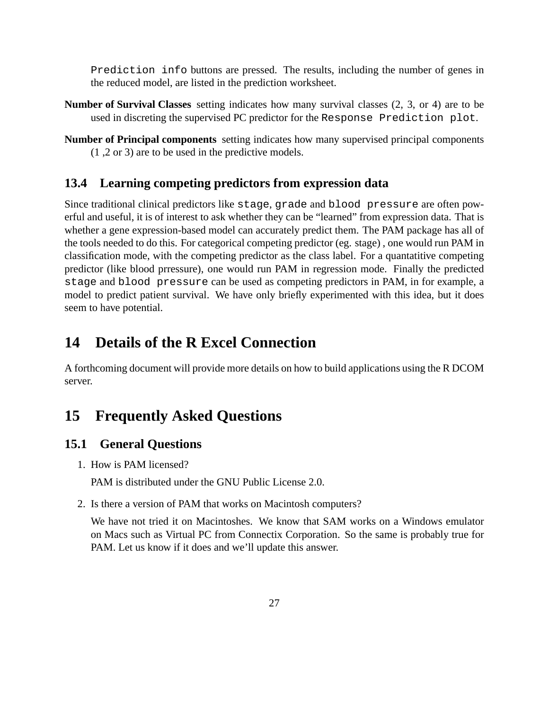Prediction info buttons are pressed. The results, including the number of genes in the reduced model, are listed in the prediction worksheet.

- **Number of Survival Classes** setting indicates how many survival classes (2, 3, or 4) are to be used in discreting the supervised PC predictor for the Response Prediction plot.
- **Number of Principal components** setting indicates how many supervised principal components (1 ,2 or 3) are to be used in the predictive models.

### <span id="page-26-0"></span>**13.4 Learning competing predictors from expression data**

Since traditional clinical predictors like stage, grade and blood pressure are often powerful and useful, it is of interest to ask whether they can be "learned" from expression data. That is whether a gene expression-based model can accurately predict them. The PAM package has all of the tools needed to do this. For categorical competing predictor (eg. stage) , one would run PAM in classification mode, with the competing predictor as the class label. For a quantatitive competing predictor (like blood prressure), one would run PAM in regression mode. Finally the predicted stage and blood pressure can be used as competing predictors in PAM, in for example, a model to predict patient survival. We have only briefly experimented with this idea, but it does seem to have potential.

# <span id="page-26-1"></span>**14 Details of the R Excel Connection**

A forthcoming document will provide more details on how to build applications using the R DCOM server.

# <span id="page-26-2"></span>**15 Frequently Asked Questions**

#### <span id="page-26-3"></span>**15.1 General Questions**

1. How is PAM licensed?

PAM is distributed under the GNU Public License 2.0.

2. Is there a version of PAM that works on Macintosh computers?

We have not tried it on Macintoshes. We know that SAM works on a Windows emulator on Macs such as Virtual PC from Connectix Corporation. So the same is probably true for PAM. Let us know if it does and we'll update this answer.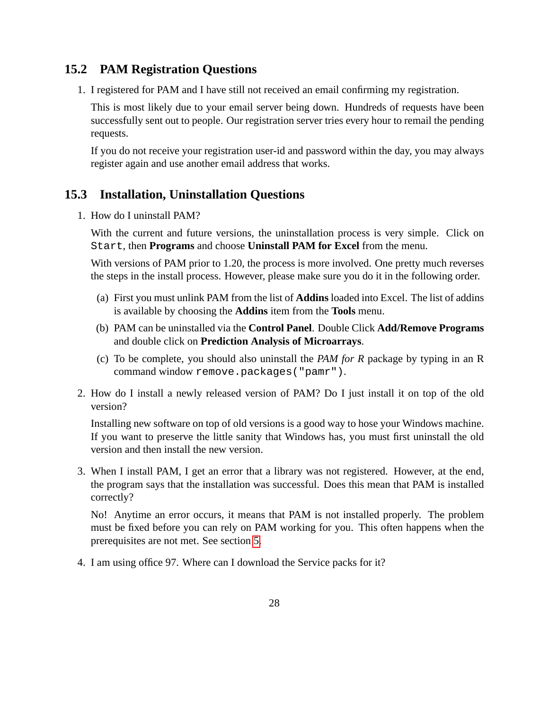#### <span id="page-27-0"></span>**15.2 PAM Registration Questions**

1. I registered for PAM and I have still not received an email confirming my registration.

This is most likely due to your email server being down. Hundreds of requests have been successfully sent out to people. Our registration server tries every hour to remail the pending requests.

If you do not receive your registration user-id and password within the day, you may always register again and use another email address that works.

#### <span id="page-27-1"></span>**15.3 Installation, Uninstallation Questions**

1. How do I uninstall PAM?

With the current and future versions, the uninstallation process is very simple. Click on Start, then **Programs** and choose **Uninstall PAM for Excel** from the menu.

With versions of PAM prior to 1.20, the process is more involved. One pretty much reverses the steps in the install process. However, please make sure you do it in the following order.

- (a) First you must unlink PAM from the list of **Addins** loaded into Excel. The list of addins is available by choosing the **Addins** item from the **Tools** menu.
- (b) PAM can be uninstalled via the **Control Panel**. Double Click **Add/Remove Programs** and double click on **Prediction Analysis of Microarrays**.
- (c) To be complete, you should also uninstall the *PAM for R* package by typing in an R command window remove.packages("pamr").
- 2. How do I install a newly released version of PAM? Do I just install it on top of the old version?

Installing new software on top of old versions is a good way to hose your Windows machine. If you want to preserve the little sanity that Windows has, you must first uninstall the old version and then install the new version.

3. When I install PAM, I get an error that a library was not registered. However, at the end, the program says that the installation was successful. Does this mean that PAM is installed correctly?

No! Anytime an error occurs, it means that PAM is not installed properly. The problem must be fixed before you can rely on PAM working for you. This often happens when the prerequisites are not met. See section [5.](#page-5-0)

4. I am using office 97. Where can I download the Service packs for it?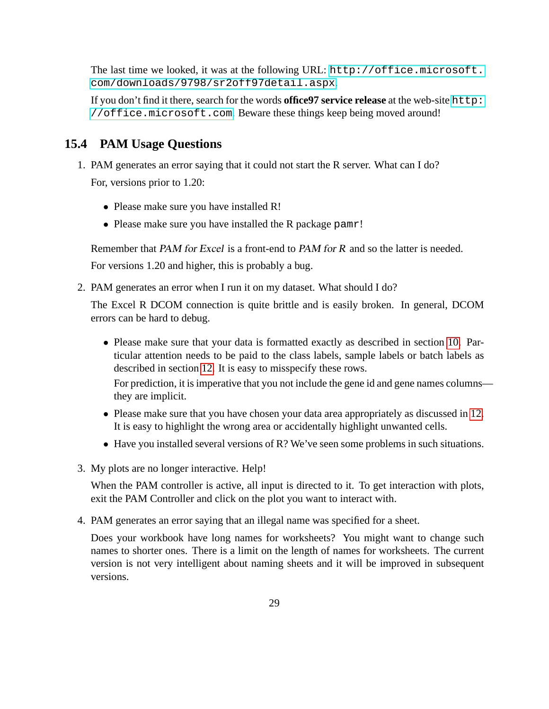The last time we looked, it was at the following URL: [http://office.microsoft.](http://office.microsoft.com/downloads/9798/sr2off97detail.aspx) [com/downloads/9798/sr2off97detail.aspx](http://office.microsoft.com/downloads/9798/sr2off97detail.aspx).

If you don't find it there, search for the words **office97 service release** at the web-site [http:](http://office.microsoft.com) [//office.microsoft.com](http://office.microsoft.com). Beware these things keep being moved around!

# <span id="page-28-0"></span>**15.4 PAM Usage Questions**

- 1. PAM generates an error saying that it could not start the R server. What can I do? For, versions prior to 1.20:
	- Please make sure you have installed R!
	- Please make sure you have installed the R package pamr!

Remember that PAM for Excel is a front-end to PAM for R and so the latter is needed.

For versions 1.20 and higher, this is probably a bug.

2. PAM generates an error when I run it on my dataset. What should I do?

The Excel R DCOM connection is quite brittle and is easily broken. In general, DCOM errors can be hard to debug.

• Please make sure that your data is formatted exactly as described in section [10.](#page-7-0) Particular attention needs to be paid to the class labels, sample labels or batch labels as described in section [12.](#page-9-0) It is easy to misspecify these rows. For prediction, it is imperative that you not include the gene id and gene names columns—

they are implicit.

- Please make sure that you have chosen your data area appropriately as discussed in [12.](#page-9-0) It is easy to highlight the wrong area or accidentally highlight unwanted cells.
- Have you installed several versions of R? We've seen some problems in such situations.
- 3. My plots are no longer interactive. Help!

When the PAM controller is active, all input is directed to it. To get interaction with plots, exit the PAM Controller and click on the plot you want to interact with.

4. PAM generates an error saying that an illegal name was specified for a sheet.

Does your workbook have long names for worksheets? You might want to change such names to shorter ones. There is a limit on the length of names for worksheets. The current version is not very intelligent about naming sheets and it will be improved in subsequent versions.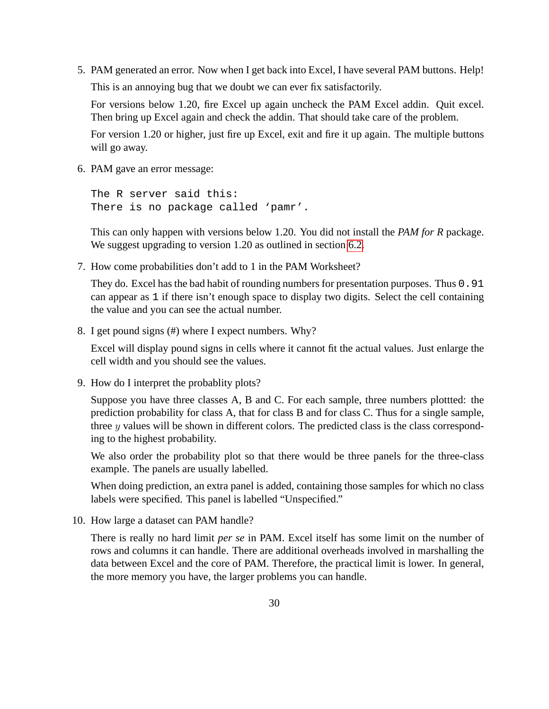5. PAM generated an error. Now when I get back into Excel, I have several PAM buttons. Help!

This is an annoying bug that we doubt we can ever fix satisfactorily.

For versions below 1.20, fire Excel up again uncheck the PAM Excel addin. Quit excel. Then bring up Excel again and check the addin. That should take care of the problem.

For version 1.20 or higher, just fire up Excel, exit and fire it up again. The multiple buttons will go away.

6. PAM gave an error message:

```
The R server said this:
There is no package called 'pamr'.
```
This can only happen with versions below 1.20. You did not install the *PAM for R* package. We suggest upgrading to version 1.20 as outlined in section [6.2.](#page-6-0)

7. How come probabilities don't add to 1 in the PAM Worksheet?

They do. Excel has the bad habit of rounding numbers for presentation purposes. Thus 0.91 can appear as 1 if there isn't enough space to display two digits. Select the cell containing the value and you can see the actual number.

8. I get pound signs (#) where I expect numbers. Why?

Excel will display pound signs in cells where it cannot fit the actual values. Just enlarge the cell width and you should see the values.

9. How do I interpret the probablity plots?

Suppose you have three classes A, B and C. For each sample, three numbers plottted: the prediction probability for class A, that for class B and for class C. Thus for a single sample, three  $y$  values will be shown in different colors. The predicted class is the class corresponding to the highest probability.

We also order the probability plot so that there would be three panels for the three-class example. The panels are usually labelled.

When doing prediction, an extra panel is added, containing those samples for which no class labels were specified. This panel is labelled "Unspecified."

10. How large a dataset can PAM handle?

There is really no hard limit *per se* in PAM. Excel itself has some limit on the number of rows and columns it can handle. There are additional overheads involved in marshalling the data between Excel and the core of PAM. Therefore, the practical limit is lower. In general, the more memory you have, the larger problems you can handle.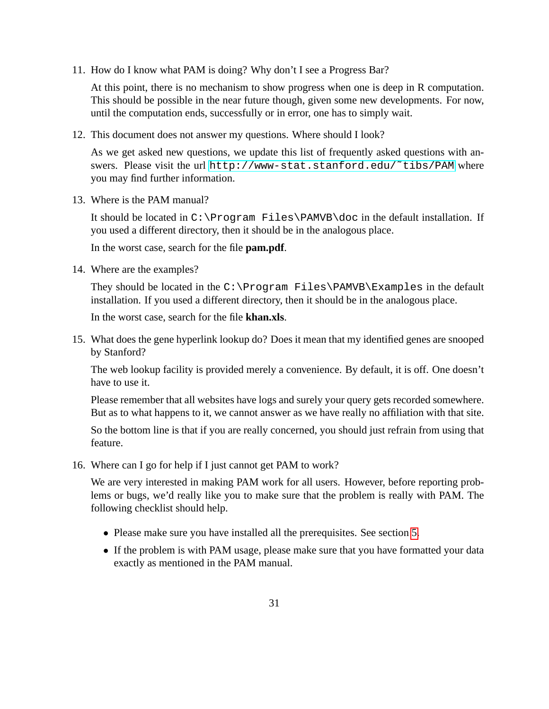11. How do I know what PAM is doing? Why don't I see a Progress Bar?

At this point, there is no mechanism to show progress when one is deep in R computation. This should be possible in the near future though, given some new developments. For now, until the computation ends, successfully or in error, one has to simply wait.

12. This document does not answer my questions. Where should I look?

As we get asked new questions, we update this list of frequently asked questions with answers. Please visit the url [http://www-stat.stanford.edu/˜tibs/PAM](http://www-stat.stanford.edu/~tibs/PAM) where you may find further information.

13. Where is the PAM manual?

It should be located in C:\Program Files\PAMVB\doc in the default installation. If you used a different directory, then it should be in the analogous place.

In the worst case, search for the file **pam.pdf**.

14. Where are the examples?

They should be located in the  $C:\Perogram$  Files\PAMVB\Examples in the default installation. If you used a different directory, then it should be in the analogous place.

In the worst case, search for the file **khan.xls**.

15. What does the gene hyperlink lookup do? Does it mean that my identified genes are snooped by Stanford?

The web lookup facility is provided merely a convenience. By default, it is off. One doesn't have to use it.

Please remember that all websites have logs and surely your query gets recorded somewhere. But as to what happens to it, we cannot answer as we have really no affiliation with that site.

So the bottom line is that if you are really concerned, you should just refrain from using that feature.

16. Where can I go for help if I just cannot get PAM to work?

We are very interested in making PAM work for all users. However, before reporting problems or bugs, we'd really like you to make sure that the problem is really with PAM. The following checklist should help.

- Please make sure you have installed all the prerequisites. See section [5.](#page-5-0)
- If the problem is with PAM usage, please make sure that you have formatted your data exactly as mentioned in the PAM manual.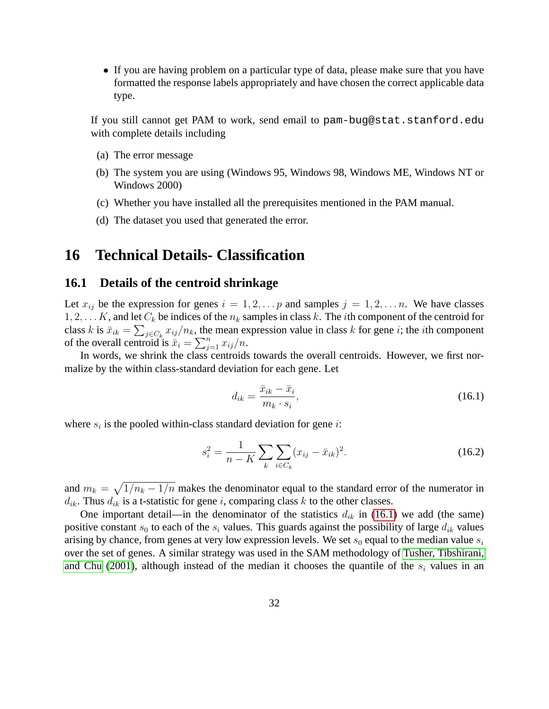• If you are having problem on a particular type of data, please make sure that you have formatted the response labels appropriately and have chosen the correct applicable data type.

If you still cannot get PAM to work, send email to pam-bug@stat.stanford.edu with complete details including

- (a) The error message
- (b) The system you are using (Windows 95, Windows 98, Windows ME, Windows NT or Windows 2000)
- (c) Whether you have installed all the prerequisites mentioned in the PAM manual.
- (d) The dataset you used that generated the error.

## <span id="page-31-0"></span>**16 Technical Details- Classification**

#### <span id="page-31-1"></span>**16.1 Details of the centroid shrinkage**

Let  $x_{ij}$  be the expression for genes  $i = 1, 2, \ldots p$  and samples  $j = 1, 2, \ldots n$ . We have classes  $1, 2, \ldots K$ , and let  $C_k$  be indices of the  $n_k$  samples in class k. The *i*th component of the centroid for class k is  $\bar{x}_{ik} = \sum_{j \in C_k} x_{ij}/n_k$ , the mean expression value in class k for gene i; the *i*th component of the overall centroid is  $\overline{\dot{x}}_i = \sum_{j=1}^n x_{ij}/n$ .

In words, we shrink the class centroids towards the overall centroids. However, we first normalize by the within class-standard deviation for each gene. Let

<span id="page-31-2"></span>
$$
d_{ik} = \frac{\bar{x}_{ik} - \bar{x}_i}{m_k \cdot s_i},\tag{16.1}
$$

where  $s_i$  is the pooled within-class standard deviation for gene *i*:

$$
s_i^2 = \frac{1}{n - K} \sum_k \sum_{i \in C_k} (x_{ij} - \bar{x}_{ik})^2.
$$
 (16.2)

and  $m_k = \sqrt{1/n_k - 1/n}$  makes the denominator equal to the standard error of the numerator in  $d_{ik}$ . Thus  $d_{ik}$  is a t-statistic for gene i, comparing class k to the other classes.

One important detail—in the denominator of the statistics  $d_{ik}$  in [\(16.1\)](#page-31-2) we add (the same) positive constant  $s_0$  to each of the  $s_i$  values. This guards against the possibility of large  $d_{ik}$  values arising by chance, from genes at very low expression levels. We set  $s_0$  equal to the median value  $s_i$ over the set of genes. A similar strategy was used in the SAM methodology of [Tusher, Tibshirani,](#page-40-2) [and Chu \(2001\)](#page-40-2), although instead of the median it chooses the quantile of the  $s_i$  values in an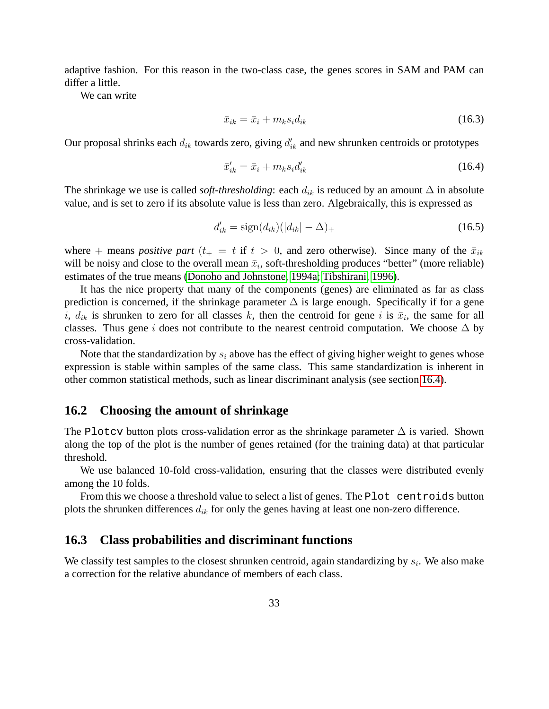adaptive fashion. For this reason in the two-class case, the genes scores in SAM and PAM can differ a little.

We can write

$$
\bar{x}_{ik} = \bar{x}_i + m_k s_i d_{ik} \tag{16.3}
$$

Our proposal shrinks each  $d_{ik}$  towards zero, giving  $d'_{ik}$  and new shrunken centroids or prototypes

<span id="page-32-2"></span>
$$
\bar{x}_{ik}' = \bar{x}_i + m_k s_i d_{ik}' \tag{16.4}
$$

The shrinkage we use is called *soft-thresholding*: each  $d_{ik}$  is reduced by an amount  $\Delta$  in absolute value, and is set to zero if its absolute value is less than zero. Algebraically, this is expressed as

$$
d'_{ik} = \text{sign}(d_{ik})(|d_{ik}| - \Delta)_+ \tag{16.5}
$$

where + means *positive part* ( $t_+ = t$  if  $t > 0$ , and zero otherwise). Since many of the  $\bar{x}_{ik}$ will be noisy and close to the overall mean  $\bar{x}_i$ , soft-thresholding produces "better" (more reliable) estimates of the true means [\(Donoho and Johnstone, 1994a;](#page-39-1) [Tibshirani, 1996\)](#page-40-3).

It has the nice property that many of the components (genes) are eliminated as far as class prediction is concerned, if the shrinkage parameter  $\Delta$  is large enough. Specifically if for a gene i,  $d_{ik}$  is shrunken to zero for all classes k, then the centroid for gene i is  $\bar{x}_i$ , the same for all classes. Thus gene i does not contribute to the nearest centroid computation. We choose  $\Delta$  by cross-validation.

Note that the standardization by  $s_i$  above has the effect of giving higher weight to genes whose expression is stable within samples of the same class. This same standardization is inherent in other common statistical methods, such as linear discriminant analysis (see section [16.4\)](#page-33-0).

#### <span id="page-32-0"></span>**16.2 Choosing the amount of shrinkage**

The Plotcv button plots cross-validation error as the shrinkage parameter  $\Delta$  is varied. Shown along the top of the plot is the number of genes retained (for the training data) at that particular threshold.

We use balanced 10-fold cross-validation, ensuring that the classes were distributed evenly among the 10 folds.

From this we choose a threshold value to select a list of genes. The Plot centroids button plots the shrunken differences  $d_{ik}$  for only the genes having at least one non-zero difference.

#### <span id="page-32-1"></span>**16.3 Class probabilities and discriminant functions**

We classify test samples to the closest shrunken centroid, again standardizing by  $s_i$ . We also make a correction for the relative abundance of members of each class.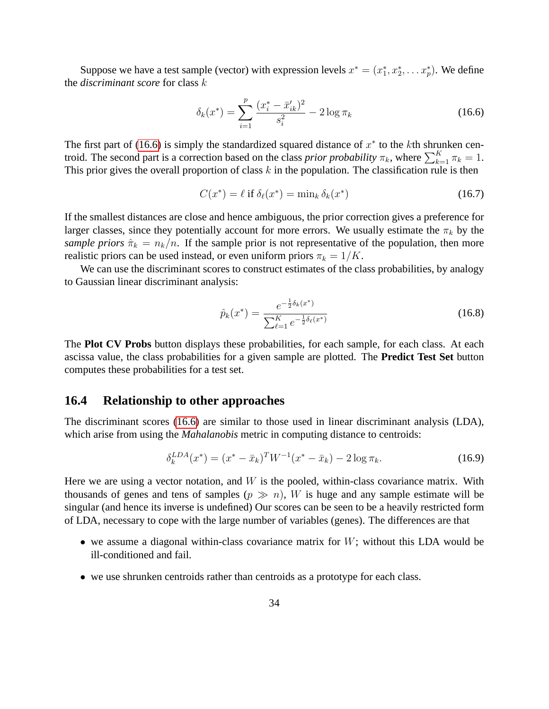Suppose we have a test sample (vector) with expression levels  $x^* = (x_1^*, x_2^*, \dots x_p^*)$ . We define the *discriminant score* for class k

<span id="page-33-1"></span>
$$
\delta_k(x^*) = \sum_{i=1}^p \frac{(x_i^* - \bar{x}_{ik}')^2}{s_i^2} - 2\log \pi_k \tag{16.6}
$$

The first part of [\(16.6\)](#page-33-1) is simply the standardized squared distance of  $x^*$  to the kth shrunken centroid. The second part is a correction based on the class *prior probability*  $\pi_k$ , where  $\sum_{k=1}^K \pi_k = 1$ . This prior gives the overall proportion of class  $k$  in the population. The classification rule is then

$$
C(x^*) = \ell \text{ if } \delta_\ell(x^*) = \min_k \delta_k(x^*) \tag{16.7}
$$

If the smallest distances are close and hence ambiguous, the prior correction gives a preference for larger classes, since they potentially account for more errors. We usually estimate the  $\pi_k$  by the *sample priors*  $\hat{\pi}_k = n_k/n$ . If the sample prior is not representative of the population, then more realistic priors can be used instead, or even uniform priors  $\pi_k = 1/K$ .

We can use the discriminant scores to construct estimates of the class probabilities, by analogy to Gaussian linear discriminant analysis:

<span id="page-33-3"></span><span id="page-33-2"></span>
$$
\hat{p}_k(x^*) = \frac{e^{-\frac{1}{2}\delta_k(x^*)}}{\sum_{\ell=1}^K e^{-\frac{1}{2}\delta_\ell(x^*)}}
$$
\n(16.8)

The **Plot CV Probs** button displays these probabilities, for each sample, for each class. At each ascissa value, the class probabilities for a given sample are plotted. The **Predict Test Set** button computes these probabilities for a test set.

#### <span id="page-33-0"></span>**16.4 Relationship to other approaches**

The discriminant scores [\(16.6\)](#page-33-1) are similar to those used in linear discriminant analysis (LDA), which arise from using the *Mahalanobis* metric in computing distance to centroids:

$$
\delta_k^{LDA}(x^*) = (x^* - \bar{x}_k)^T W^{-1}(x^* - \bar{x}_k) - 2\log \pi_k. \tag{16.9}
$$

Here we are using a vector notation, and  $W$  is the pooled, within-class covariance matrix. With thousands of genes and tens of samples  $(p \gg n)$ , W is huge and any sample estimate will be singular (and hence its inverse is undefined) Our scores can be seen to be a heavily restricted form of LDA, necessary to cope with the large number of variables (genes). The differences are that

- we assume a diagonal within-class covariance matrix for  $W$ ; without this LDA would be ill-conditioned and fail.
- we use shrunken centroids rather than centroids as a prototype for each class.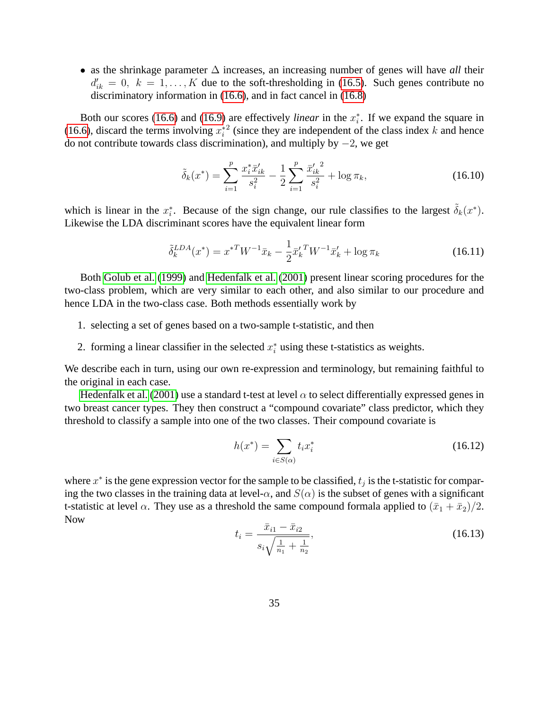• as the shrinkage parameter ∆ increases, an increasing number of genes will have *all* their  $d'_{ik} = 0, k = 1, ..., K$  due to the soft-thresholding in [\(16.5\)](#page-32-2). Such genes contribute no discriminatory information in [\(16.6\)](#page-33-1), and in fact cancel in [\(16.8\)](#page-33-2)

Both our scores [\(16.6\)](#page-33-1) and [\(16.9\)](#page-33-3) are effectively *linear* in the  $x_i^*$ . If we expand the square in [\(16.6\)](#page-33-1), discard the terms involving  $x_i^*$  (since they are independent of the class index k and hence do not contribute towards class discrimination), and multiply by −2, we get

$$
\tilde{\delta}_k(x^*) = \sum_{i=1}^p \frac{x_i^* \bar{x}_{ik}'}{s_i^2} - \frac{1}{2} \sum_{i=1}^p \frac{\bar{x}_{ik}'}{s_i^2} + \log \pi_k,\tag{16.10}
$$

which is linear in the  $x_i^*$ . Because of the sign change, our rule classifies to the largest  $\tilde{\delta}_k(x^*)$ . Likewise the LDA discriminant scores have the equivalent linear form

$$
\tilde{\delta}_k^{LDA}(x^*) = x^{*T} W^{-1} \bar{x}_k - \frac{1}{2} \bar{x}_k^{\prime \, T} W^{-1} \bar{x}_k^{\prime} + \log \pi_k \tag{16.11}
$$

Both [Golub et al.](#page-40-4) [\(1999\)](#page-40-4) and [Hedenfalk et al.](#page-40-5) [\(2001\)](#page-40-5) present linear scoring procedures for the two-class problem, which are very similar to each other, and also similar to our procedure and hence LDA in the two-class case. Both methods essentially work by

- 1. selecting a set of genes based on a two-sample t-statistic, and then
- 2. forming a linear classifier in the selected  $x_i^*$  using these t-statistics as weights.

We describe each in turn, using our own re-expression and terminology, but remaining faithful to the original in each case.

[Hedenfalk et al. \(2001\)](#page-40-5) use a standard t-test at level  $\alpha$  to select differentially expressed genes in two breast cancer types. They then construct a "compound covariate" class predictor, which they threshold to classify a sample into one of the two classes. Their compound covariate is

$$
h(x^*) = \sum_{i \in S(\alpha)} t_i x_i^* \tag{16.12}
$$

where  $x^*$  is the gene expression vector for the sample to be classified,  $t_j$  is the t-statistic for comparing the two classes in the training data at level- $\alpha$ , and  $S(\alpha)$  is the subset of genes with a significant t-statistic at level  $\alpha$ . They use as a threshold the same compound formala applied to  $(\bar{x}_1 + \bar{x}_2)/2$ . Now

$$
t_i = \frac{\bar{x}_{i1} - \bar{x}_{i2}}{s_i \sqrt{\frac{1}{n_1} + \frac{1}{n_2}}},
$$
\n(16.13)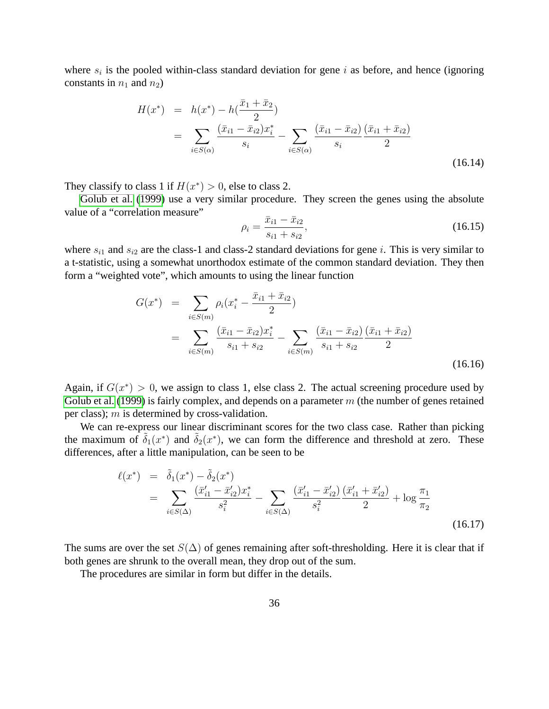where  $s_i$  is the pooled within-class standard deviation for gene i as before, and hence (ignoring constants in  $n_1$  and  $n_2$ )

$$
H(x^*) = h(x^*) - h(\frac{\bar{x}_1 + \bar{x}_2}{2})
$$
  
= 
$$
\sum_{i \in S(\alpha)} \frac{(\bar{x}_{i1} - \bar{x}_{i2})x_i^*}{s_i} - \sum_{i \in S(\alpha)} \frac{(\bar{x}_{i1} - \bar{x}_{i2})}{s_i} \frac{(\bar{x}_{i1} + \bar{x}_{i2})}{2}
$$
(16.14)

They classify to class 1 if  $H(x^*) > 0$ , else to class 2.

[Golub et al. \(1999\)](#page-40-4) use a very similar procedure. They screen the genes using the absolute value of a "correlation measure"

$$
\rho_i = \frac{\bar{x}_{i1} - \bar{x}_{i2}}{s_{i1} + s_{i2}},\tag{16.15}
$$

where  $s_{i1}$  and  $s_{i2}$  are the class-1 and class-2 standard deviations for gene i. This is very similar to a t-statistic, using a somewhat unorthodox estimate of the common standard deviation. They then form a "weighted vote", which amounts to using the linear function

$$
G(x^*) = \sum_{i \in S(m)} \rho_i (x_i^* - \frac{\bar{x}_{i1} + \bar{x}_{i2}}{2})
$$
  
= 
$$
\sum_{i \in S(m)} \frac{(\bar{x}_{i1} - \bar{x}_{i2})x_i^*}{s_{i1} + s_{i2}} - \sum_{i \in S(m)} \frac{(\bar{x}_{i1} - \bar{x}_{i2})}{s_{i1} + s_{i2}} \frac{(\bar{x}_{i1} + \bar{x}_{i2})}{2}
$$
(16.16)

Again, if  $G(x^*) > 0$ , we assign to class 1, else class 2. The actual screening procedure used by [Golub et al. \(1999\)](#page-40-4) is fairly complex, and depends on a parameter  $m$  (the number of genes retained per class); m is determined by cross-validation.

We can re-express our linear discriminant scores for the two class case. Rather than picking the maximum of  $\tilde{\delta}_1(x^*)$  and  $\tilde{\delta}_2(x^*)$ , we can form the difference and threshold at zero. These differences, after a little manipulation, can be seen to be

$$
\ell(x^*) = \tilde{\delta}_1(x^*) - \tilde{\delta}_2(x^*)
$$
  
= 
$$
\sum_{i \in S(\Delta)} \frac{(\bar{x}_{i1}' - \bar{x}_{i2}')x_i^*}{s_i^2} - \sum_{i \in S(\Delta)} \frac{(\bar{x}_{i1}' - \bar{x}_{i2}')(\bar{x}_{i1}' + \bar{x}_{i2}')}{s_i^2} + \log \frac{\pi_1}{\pi_2}
$$
(16.17)

The sums are over the set  $S(\Delta)$  of genes remaining after soft-thresholding. Here it is clear that if both genes are shrunk to the overall mean, they drop out of the sum.

The procedures are similar in form but differ in the details.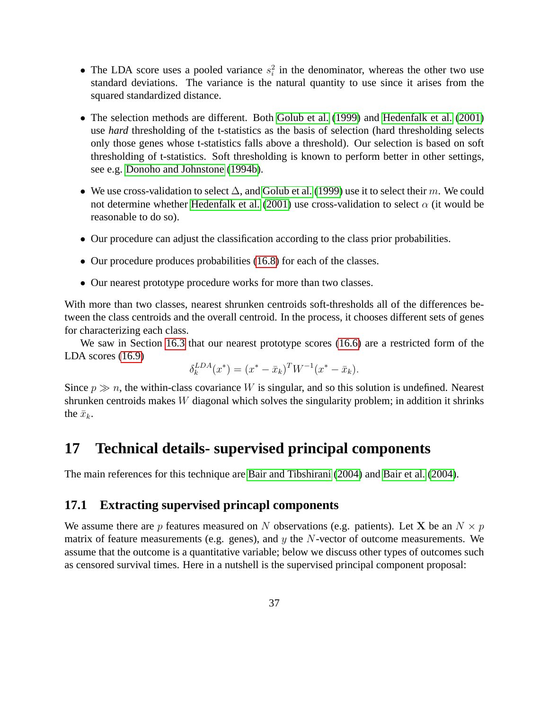- The LDA score uses a pooled variance  $s_i^2$  in the denominator, whereas the other two use standard deviations. The variance is the natural quantity to use since it arises from the squared standardized distance.
- The selection methods are different. Both [Golub et al. \(1999\)](#page-40-4) and [Hedenfalk et al. \(2001\)](#page-40-5) use *hard* thresholding of the t-statistics as the basis of selection (hard thresholding selects only those genes whose t-statistics falls above a threshold). Our selection is based on soft thresholding of t-statistics. Soft thresholding is known to perform better in other settings, see e.g. [Donoho and Johnstone \(1994b\)](#page-39-2).
- We use cross-validation to select  $\Delta$ , and [Golub et al.](#page-40-4) [\(1999\)](#page-40-4) use it to select their m. We could not determine whether [Hedenfalk et al. \(2001\)](#page-40-5) use cross-validation to select  $\alpha$  (it would be reasonable to do so).
- Our procedure can adjust the classification according to the class prior probabilities.
- Our procedure produces probabilities [\(16.8\)](#page-33-2) for each of the classes.
- Our nearest prototype procedure works for more than two classes.

With more than two classes, nearest shrunken centroids soft-thresholds all of the differences between the class centroids and the overall centroid. In the process, it chooses different sets of genes for characterizing each class.

We saw in Section [16.3](#page-32-1) that our nearest prototype scores [\(16.6\)](#page-33-1) are a restricted form of the LDA scores [\(16.9\)](#page-33-3)

$$
\delta_k^{LDA}(x^*) = (x^* - \bar{x}_k)^T W^{-1}(x^* - \bar{x}_k).
$$

Since  $p \gg n$ , the within-class covariance W is singular, and so this solution is undefined. Nearest shrunken centroids makes  $W$  diagonal which solves the singularity problem; in addition it shrinks the  $\bar{x}_k$ .

# <span id="page-36-0"></span>**17 Technical details- supervised principal components**

The main references for this technique are [Bair and Tibshirani \(2004\)](#page-39-3) and [Bair et al. \(2004\)](#page-39-4).

#### <span id="page-36-1"></span>**17.1 Extracting supervised princapl components**

We assume there are p features measured on N observations (e.g. patients). Let X be an  $N \times p$ matrix of feature measurements (e.g. genes), and  $y$  the  $N$ -vector of outcome measurements. We assume that the outcome is a quantitative variable; below we discuss other types of outcomes such as censored survival times. Here in a nutshell is the supervised principal component proposal: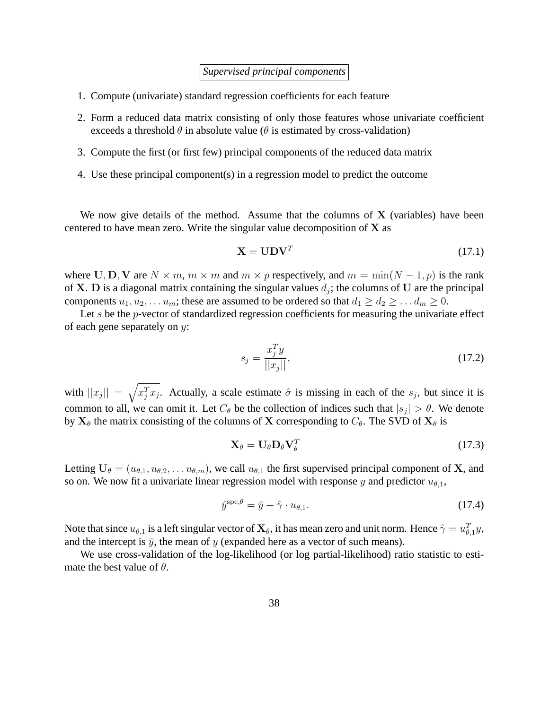*Supervised principal components*

- 1. Compute (univariate) standard regression coefficients for each feature
- 2. Form a reduced data matrix consisting of only those features whose univariate coefficient exceeds a threshold  $\theta$  in absolute value ( $\theta$  is estimated by cross-validation)
- 3. Compute the first (or first few) principal components of the reduced data matrix
- 4. Use these principal component(s) in a regression model to predict the outcome

We now give details of the method. Assume that the columns of X (variables) have been centered to have mean zero. Write the singular value decomposition of X as

$$
\mathbf{X} = \mathbf{U} \mathbf{D} \mathbf{V}^T \tag{17.1}
$$

where U, D, V are  $N \times m$ ,  $m \times m$  and  $m \times p$  respectively, and  $m = \min(N - 1, p)$  is the rank of **X**. D is a diagonal matrix containing the singular values  $d_j$ ; the columns of U are the principal components  $u_1, u_2, \ldots u_m$ ; these are assumed to be ordered so that  $d_1 \geq d_2 \geq \ldots d_m \geq 0$ .

Let s be the  $p$ -vector of standardized regression coefficients for measuring the univariate effect of each gene separately on y:

<span id="page-37-1"></span>
$$
s_j = \frac{x_j^T y}{||x_j||},
$$
\n(17.2)

with  $||x_j|| = \sqrt{x_j^T x_j}$ . Actually, a scale estimate  $\hat{\sigma}$  is missing in each of the  $s_j$ , but since it is common to all, we can omit it. Let  $C_{\theta}$  be the collection of indices such that  $|s_j| > \theta$ . We denote by  $X_{\theta}$  the matrix consisting of the columns of X corresponding to  $C_{\theta}$ . The SVD of  $X_{\theta}$  is

<span id="page-37-0"></span>
$$
\mathbf{X}_{\theta} = \mathbf{U}_{\theta} \mathbf{D}_{\theta} \mathbf{V}_{\theta}^{T} \tag{17.3}
$$

Letting  $U_{\theta} = (u_{\theta,1}, u_{\theta,2}, \dots u_{\theta,m})$ , we call  $u_{\theta,1}$  the first supervised principal component of **X**, and so on. We now fit a univariate linear regression model with response y and predictor  $u_{\theta,1}$ ,

<span id="page-37-2"></span>
$$
\hat{y}^{\text{spc},\theta} = \bar{y} + \hat{\gamma} \cdot u_{\theta,1}.\tag{17.4}
$$

Note that since  $u_{\theta,1}$  is a left singular vector of  $\mathbf{X}_\theta$ , it has mean zero and unit norm. Hence  $\hat{\gamma}=u_{\theta,1}^T y$ , and the intercept is  $\bar{y}$ , the mean of y (expanded here as a vector of such means).

We use cross-validation of the log-likelihood (or log partial-likelihood) ratio statistic to estimate the best value of  $\theta$ .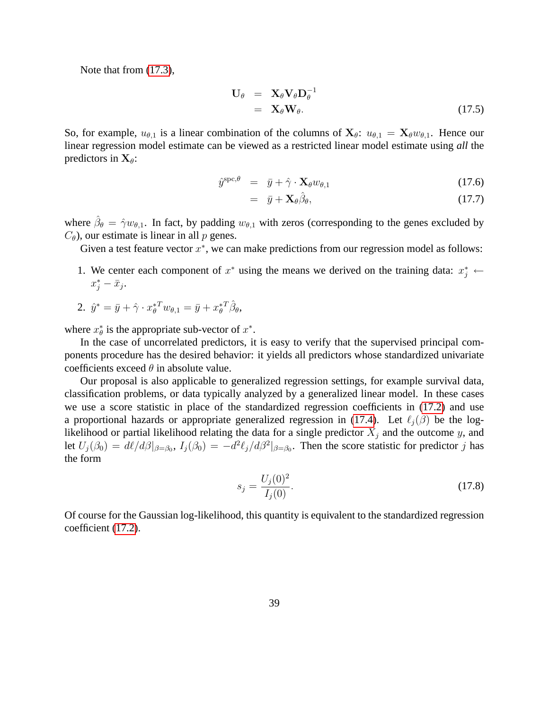Note that from [\(17.3\)](#page-37-0),

$$
\mathbf{U}_{\theta} = \mathbf{X}_{\theta} \mathbf{V}_{\theta} \mathbf{D}_{\theta}^{-1} \n= \mathbf{X}_{\theta} \mathbf{W}_{\theta}.
$$
\n(17.5)

So, for example,  $u_{\theta,1}$  is a linear combination of the columns of  $X_{\theta}$ :  $u_{\theta,1} = X_{\theta}w_{\theta,1}$ . Hence our linear regression model estimate can be viewed as a restricted linear model estimate using *all* the predictors in  $X_{\theta}$ :

$$
\hat{y}^{\text{spc},\theta} = \bar{y} + \hat{\gamma} \cdot \mathbf{X}_{\theta} w_{\theta,1} \tag{17.6}
$$

$$
= \bar{y} + \mathbf{X}_{\theta} \hat{\beta}_{\theta}, \tag{17.7}
$$

where  $\hat{\beta}_{\theta} = \hat{\gamma}w_{\theta,1}$ . In fact, by padding  $w_{\theta,1}$  with zeros (corresponding to the genes excluded by  $C_{\theta}$ ), our estimate is linear in all p genes.

Given a test feature vector  $x^*$ , we can make predictions from our regression model as follows:

- 1. We center each component of  $x^*$  using the means we derived on the training data:  $x_j^* \leftarrow$  $x_j^* - \bar{x}_j$ .
- 2.  $\hat{y}^* = \bar{y} + \hat{\gamma} \cdot x_{\theta}^{*T} w_{\theta,1} = \bar{y} + x_{\theta}^{*T} \hat{\beta}_{\theta},$

where  $x^*_{\theta}$  is the appropriate sub-vector of  $x^*$ .

In the case of uncorrelated predictors, it is easy to verify that the supervised principal components procedure has the desired behavior: it yields all predictors whose standardized univariate coefficients exceed  $\theta$  in absolute value.

Our proposal is also applicable to generalized regression settings, for example survival data, classification problems, or data typically analyzed by a generalized linear model. In these cases we use a score statistic in place of the standardized regression coefficients in [\(17.2\)](#page-37-1) and use a proportional hazards or appropriate generalized regression in [\(17.4\)](#page-37-2). Let  $\ell_i(\beta)$  be the loglikelihood or partial likelihood relating the data for a single predictor  $X_j$  and the outcome y, and let  $U_j(\beta_0) = d\ell/d\beta|_{\beta=\beta_0}$ ,  $I_j(\beta_0) = -d^2\ell_j/d\beta^2|_{\beta=\beta_0}$ . Then the score statistic for predictor j has the form

$$
s_j = \frac{U_j(0)^2}{I_j(0)}.\tag{17.8}
$$

Of course for the Gaussian log-likelihood, this quantity is equivalent to the standardized regression coefficient [\(17.2\)](#page-37-1).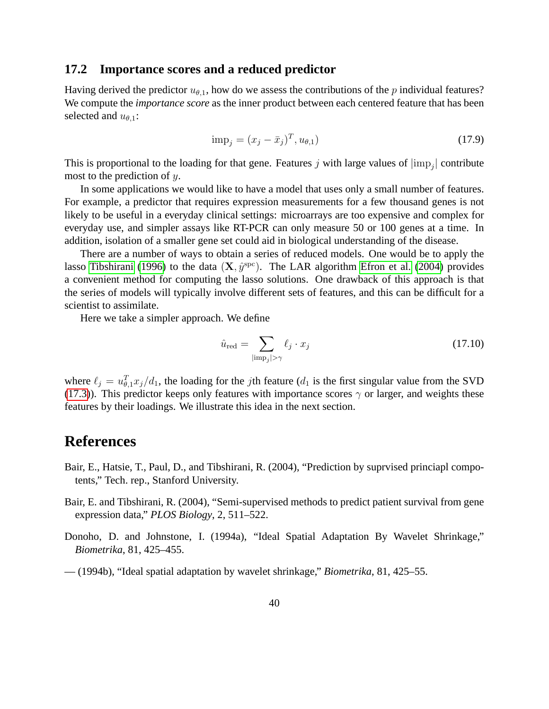#### <span id="page-39-0"></span>**17.2 Importance scores and a reduced predictor**

Having derived the predictor  $u_{\theta,1}$ , how do we assess the contributions of the p individual features? We compute the *importance score* as the inner product between each centered feature that has been selected and  $u_{\theta,1}$ :

$$
imp_j = (x_j - \bar{x}_j)^T, u_{\theta,1})
$$
\n(17.9)

This is proportional to the loading for that gene. Features j with large values of  $|\text{imp}_j|$  contribute most to the prediction of y.

In some applications we would like to have a model that uses only a small number of features. For example, a predictor that requires expression measurements for a few thousand genes is not likely to be useful in a everyday clinical settings: microarrays are too expensive and complex for everyday use, and simpler assays like RT-PCR can only measure 50 or 100 genes at a time. In addition, isolation of a smaller gene set could aid in biological understanding of the disease.

There are a number of ways to obtain a series of reduced models. One would be to apply the lasso [Tibshirani \(1996\)](#page-40-3) to the data  $(X, \hat{y}^{\text{spc}})$ . The LAR algorithm [Efron et al.](#page-40-6) [\(2004\)](#page-40-6) provides a convenient method for computing the lasso solutions. One drawback of this approach is that the series of models will typically involve different sets of features, and this can be difficult for a scientist to assimilate.

Here we take a simpler approach. We define

$$
\hat{u}_{\text{red}} = \sum_{|\text{imp}_j| > \gamma} \ell_j \cdot x_j \tag{17.10}
$$

where  $\ell_j = u_{\theta,1}^T x_j/d_1$ , the loading for the *j*th feature ( $d_1$  is the first singular value from the SVD [\(17.3\)](#page-37-0)). This predictor keeps only features with importance scores  $\gamma$  or larger, and weights these features by their loadings. We illustrate this idea in the next section.

# **References**

- <span id="page-39-4"></span>Bair, E., Hatsie, T., Paul, D., and Tibshirani, R. (2004), "Prediction by suprvised princiapl compotents," Tech. rep., Stanford University.
- <span id="page-39-3"></span>Bair, E. and Tibshirani, R. (2004), "Semi-supervised methods to predict patient survival from gene expression data," *PLOS Biology*, 2, 511–522.
- <span id="page-39-1"></span>Donoho, D. and Johnstone, I. (1994a), "Ideal Spatial Adaptation By Wavelet Shrinkage," *Biometrika*, 81, 425–455.
- <span id="page-39-2"></span>— (1994b), "Ideal spatial adaptation by wavelet shrinkage," *Biometrika*, 81, 425–55.